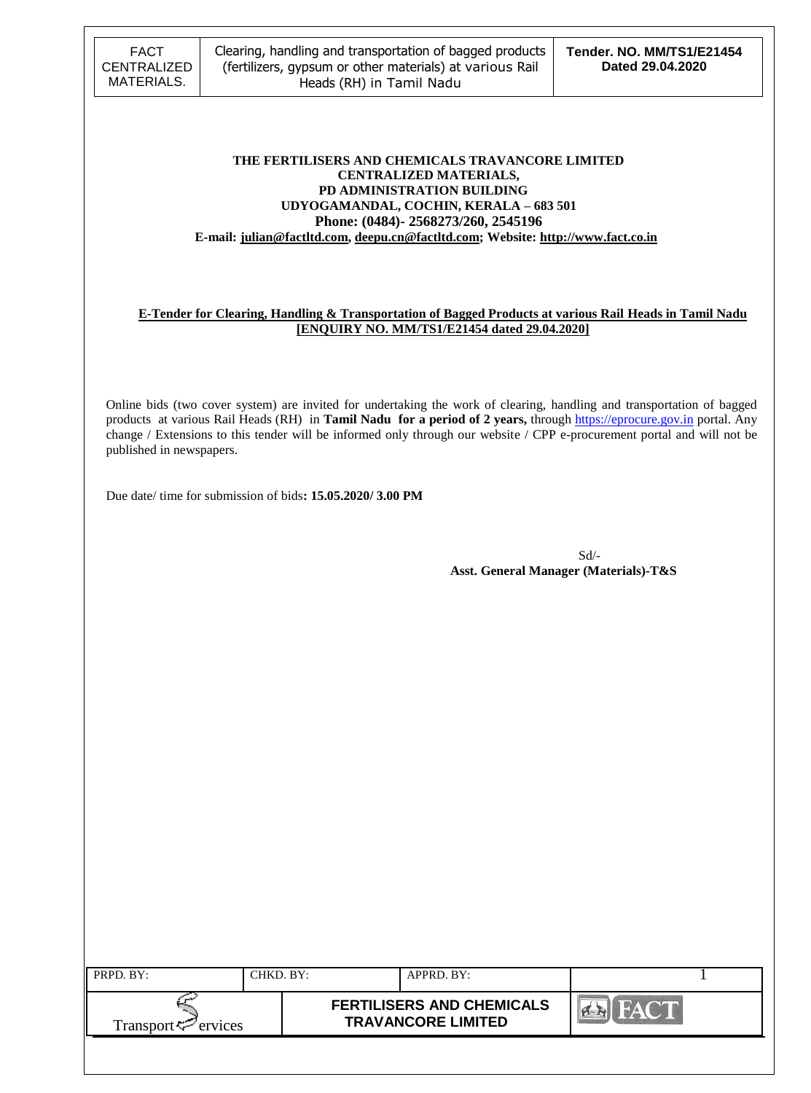#### **THE FERTILISERS AND CHEMICALS TRAVANCORE LIMITED CENTRALIZED MATERIALS, PD ADMINISTRATION BUILDING UDYOGAMANDAL, COCHIN, KERALA – 683 501 Phone: (0484)- 2568273/260, 2545196 E-mail[: julian@factltd.com,](mailto:julian@factltd.com) deepu.cn@factltd.com; Website[: http://www.fact.co.in](http://www.fact.co.in/)**

#### **E-Tender for Clearing, Handling & Transportation of Bagged Products at various Rail Heads in Tamil Nadu [ENQUIRY NO. MM/TS1/E21454 dated 29.04.2020]**

Online bids (two cover system) are invited for undertaking the work of clearing, handling and transportation of bagged products at various Rail Heads (RH) in **Tamil Nadu for a period of 2 years,** through [https://eprocure.gov.in](https://eprocure.gov.in/) portal. Any change / Extensions to this tender will be informed only through our website / CPP e-procurement portal and will not be published in newspapers.

Due date/ time for submission of bids**: 15.05.2020/ 3.00 PM**

Sd/-  **Asst. General Manager (Materials)-T&S**

| PRPD. BY:                      | CHKD. BY: | APPRD. BY:                                                    |  |
|--------------------------------|-----------|---------------------------------------------------------------|--|
| Transport <sup>7</sup> ervices |           | <b>FERTILISERS AND CHEMICALS</b><br><b>TRAVANCORE LIMITED</b> |  |
|                                |           |                                                               |  |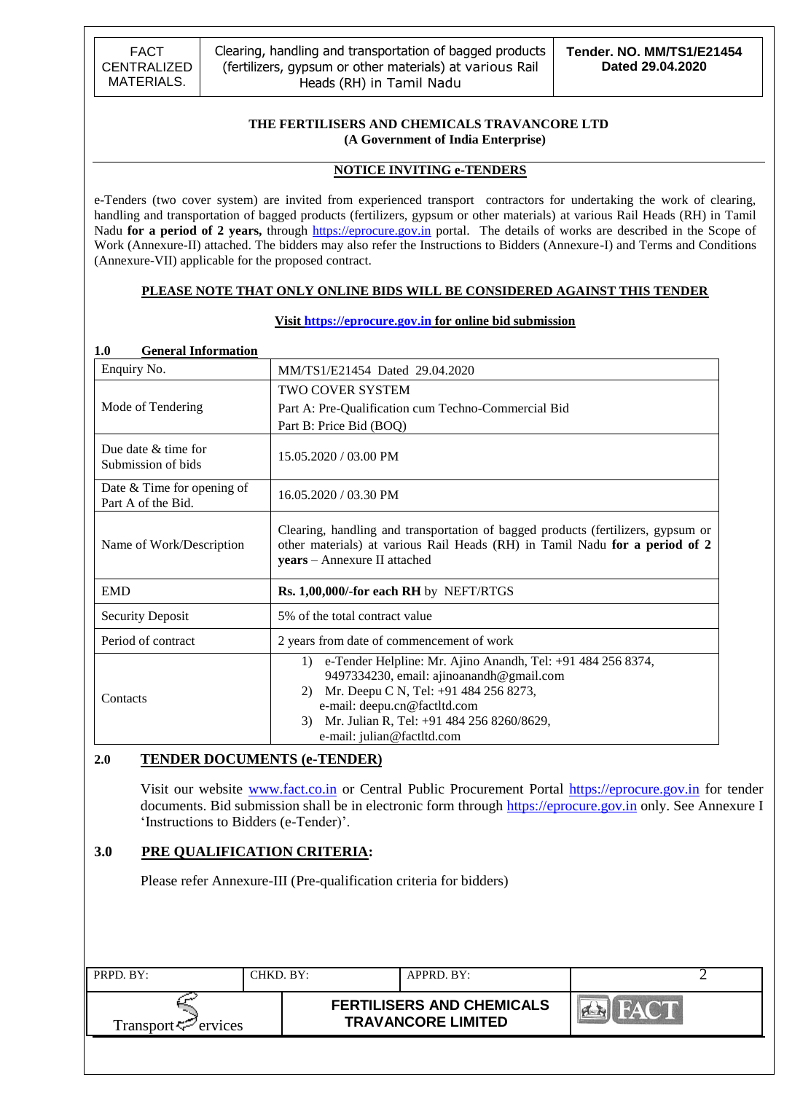### **THE FERTILISERS AND CHEMICALS TRAVANCORE LTD (A Government of India Enterprise)**

### **NOTICE INVITING e-TENDERS**

e-Tenders (two cover system) are invited from experienced transport contractors for undertaking the work of clearing, handling and transportation of bagged products (fertilizers, gypsum or other materials) at various Rail Heads (RH) in Tamil Nadu for a period of 2 years, through [https://eprocure.gov.in](https://eprocure.gov.in/) portal. The details of works are described in the Scope of Work (Annexure-II) attached. The bidders may also refer the Instructions to Bidders (Annexure-I) and Terms and Conditions (Annexure-VII) applicable for the proposed contract.

#### **PLEASE NOTE THAT ONLY ONLINE BIDS WILL BE CONSIDERED AGAINST THIS TENDER**

| <b>General Information</b><br>1.0                |                                                                                                                                                                                                                                                                               |
|--------------------------------------------------|-------------------------------------------------------------------------------------------------------------------------------------------------------------------------------------------------------------------------------------------------------------------------------|
| Enquiry No.                                      | MM/TS1/E21454 Dated 29.04.2020                                                                                                                                                                                                                                                |
|                                                  | <b>TWO COVER SYSTEM</b>                                                                                                                                                                                                                                                       |
| Mode of Tendering                                | Part A: Pre-Qualification cum Techno-Commercial Bid                                                                                                                                                                                                                           |
|                                                  | Part B: Price Bid (BOQ)                                                                                                                                                                                                                                                       |
| Due date $&$ time for<br>Submission of bids      | 15.05.2020 / 03.00 PM                                                                                                                                                                                                                                                         |
| Date & Time for opening of<br>Part A of the Bid. | 16.05.2020 / 03.30 PM                                                                                                                                                                                                                                                         |
| Name of Work/Description                         | Clearing, handling and transportation of bagged products (fertilizers, gypsum or<br>other materials) at various Rail Heads (RH) in Tamil Nadu for a period of 2<br>years - Annexure II attached                                                                               |
| <b>EMD</b>                                       | Rs. 1,00,000/-for each RH by NEFT/RTGS                                                                                                                                                                                                                                        |
| <b>Security Deposit</b>                          | 5% of the total contract value                                                                                                                                                                                                                                                |
| Period of contract                               | 2 years from date of commencement of work                                                                                                                                                                                                                                     |
| Contacts                                         | e-Tender Helpline: Mr. Ajino Anandh, Tel: +91 484 256 8374,<br>1)<br>9497334230, email: ajinoanandh@gmail.com<br>Mr. Deepu C N, Tel: +91 484 256 8273,<br>2)<br>e-mail: deepu.cn@factltd.com<br>Mr. Julian R, Tel: +91 484 256 8260/8629,<br>3)<br>e-mail: julian@factltd.com |

#### **Visit [https://eprocure.gov.in](https://eprocure.gov.in/) for online bid submission**

### **2.0 TENDER DOCUMENTS (e-TENDER)**

Visit our website [www.fact.co.in](http://www.fact.co.in/) or Central Public Procurement Portal [https://eprocure.gov.in](https://eprocure.gov.in/) for tender documents. Bid submission shall be in electronic form through [https://eprocure.gov.in](https://eprocure.gov.in/) only. See Annexure I 'Instructions to Bidders (e-Tender)'.

### **3.0 PRE QUALIFICATION CRITERIA:**

Please refer Annexure-III (Pre-qualification criteria for bidders)

| PRPD. BY:                      | CHKD. BY: | APPRD. BY:                                                    |  |
|--------------------------------|-----------|---------------------------------------------------------------|--|
| Transport <sup>7</sup> ervices |           | <b>FERTILISERS AND CHEMICALS</b><br><b>TRAVANCORE LIMITED</b> |  |
|                                |           |                                                               |  |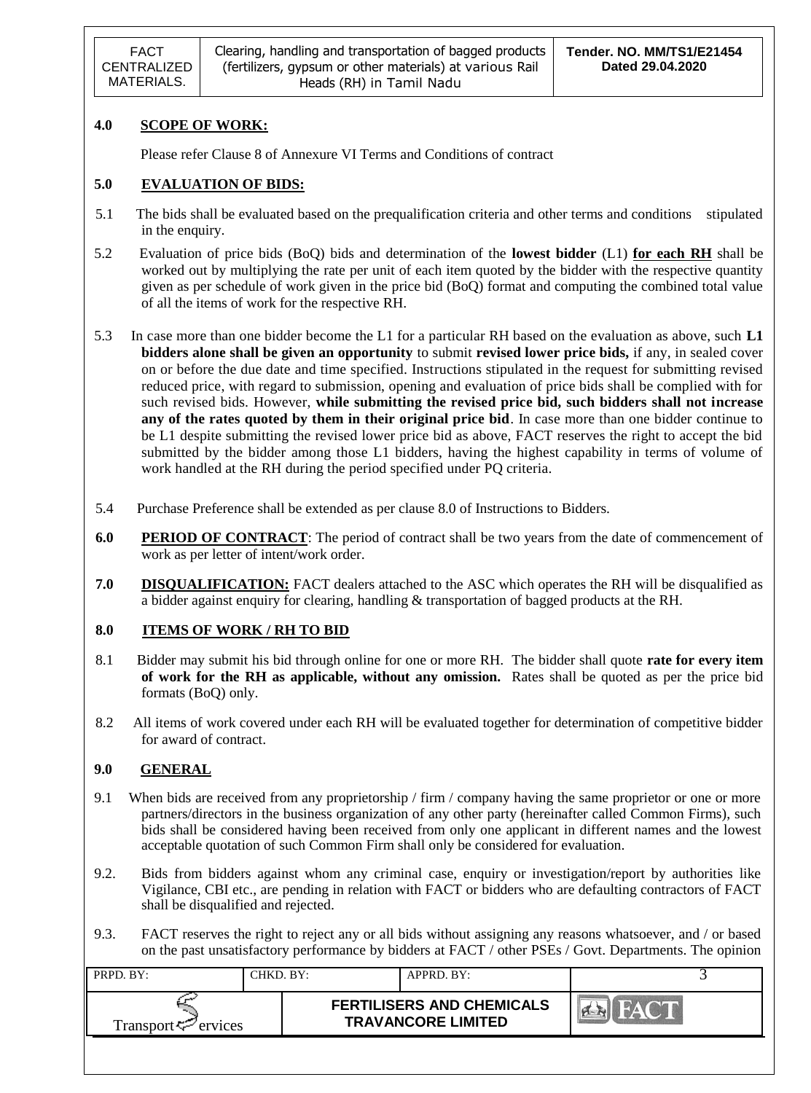## **4.0 SCOPE OF WORK:**

Please refer Clause 8 of Annexure VI Terms and Conditions of contract

### **5.0 EVALUATION OF BIDS:**

- 5.1 The bids shall be evaluated based on the prequalification criteria and other terms and conditions stipulated in the enquiry.
- 5.2 Evaluation of price bids (BoQ) bids and determination of the **lowest bidder** (L1) **for each RH** shall be worked out by multiplying the rate per unit of each item quoted by the bidder with the respective quantity given as per schedule of work given in the price bid (BoQ) format and computing the combined total value of all the items of work for the respective RH.
- 5.3 In case more than one bidder become the L1 for a particular RH based on the evaluation as above, such **L1 bidders alone shall be given an opportunity** to submit **revised lower price bids,** if any, in sealed cover on or before the due date and time specified. Instructions stipulated in the request for submitting revised reduced price, with regard to submission, opening and evaluation of price bids shall be complied with for such revised bids. However, **while submitting the revised price bid, such bidders shall not increase any of the rates quoted by them in their original price bid**. In case more than one bidder continue to be L1 despite submitting the revised lower price bid as above, FACT reserves the right to accept the bid submitted by the bidder among those L1 bidders, having the highest capability in terms of volume of work handled at the RH during the period specified under PQ criteria.
- 5.4 Purchase Preference shall be extended as per clause 8.0 of Instructions to Bidders.
- **6.0 PERIOD OF CONTRACT**: The period of contract shall be two years from the date of commencement of work as per letter of intent/work order.
- **7.0 DISQUALIFICATION:** FACT dealers attached to the ASC which operates the RH will be disqualified as a bidder against enquiry for clearing, handling & transportation of bagged products at the RH.

### **8.0 ITEMS OF WORK / RH TO BID**

- 8.1 Bidder may submit his bid through online for one or more RH. The bidder shall quote **rate for every item of work for the RH as applicable, without any omission.** Rates shall be quoted as per the price bid formats (BoQ) only.
- 8.2 All items of work covered under each RH will be evaluated together for determination of competitive bidder for award of contract.

### **9.0 GENERAL**

- 9.1 When bids are received from any proprietorship / firm / company having the same proprietor or one or more partners/directors in the business organization of any other party (hereinafter called Common Firms), such bids shall be considered having been received from only one applicant in different names and the lowest acceptable quotation of such Common Firm shall only be considered for evaluation.
- 9.2. Bids from bidders against whom any criminal case, enquiry or investigation/report by authorities like Vigilance, CBI etc., are pending in relation with FACT or bidders who are defaulting contractors of FACT shall be disqualified and rejected.
- 9.3. FACT reserves the right to reject any or all bids without assigning any reasons whatsoever, and / or based on the past unsatisfactory performance by bidders at FACT / other PSEs / Govt. Departments. The opinion

| PRPD. BY:                       | CHKD. BY:- | APPRD. BY:                                                    |                 |
|---------------------------------|------------|---------------------------------------------------------------|-----------------|
| Transport <sup>ry</sup> ervices |            | <b>FERTILISERS AND CHEMICALS</b><br><b>TRAVANCORE LIMITED</b> | $H \triangle V$ |
|                                 |            |                                                               |                 |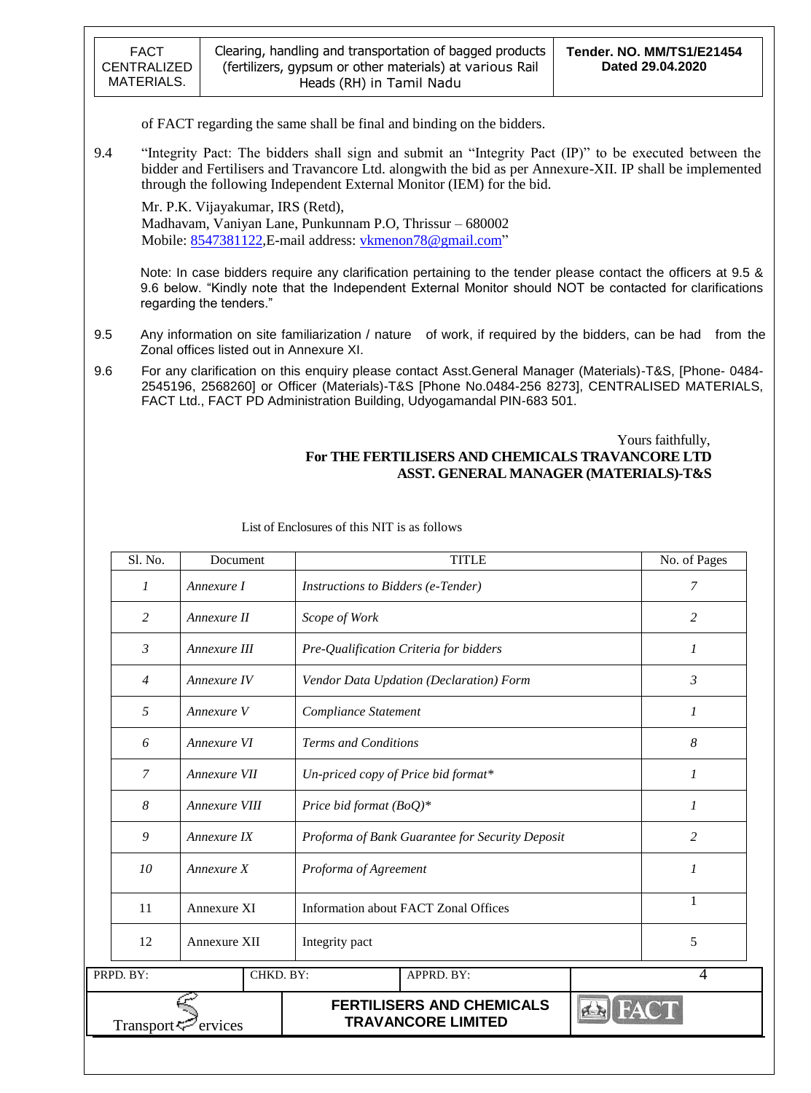regarding the tenders."

of FACT regarding the same shall be final and binding on the bidders.

9.4 "Integrity Pact: The bidders shall sign and submit an "Integrity Pact (IP)" to be executed between the bidder and Fertilisers and Travancore Ltd. alongwith the bid as per Annexure-XII. IP shall be implemented through the following Independent External Monitor (IEM) for the bid.

Mr. P.K. Vijayakumar, IRS (Retd), Madhavam, Vaniyan Lane, Punkunnam P.O, Thrissur – 680002 Mobile: [8547381122,](callto:8547381122) E-mail address: vkmenon 78@gmail.com"

Note: In case bidders require any clarification pertaining to the tender please contact the officers at 9.5 & 9.6 below. "Kindly note that the Independent External Monitor should NOT be contacted for clarifications

- 9.5 Any information on site familiarization / nature of work, if required by the bidders, can be had from the Zonal offices listed out in Annexure XI.
- 9.6 For any clarification on this enquiry please contact Asst.General Manager (Materials)-T&S, [Phone- 0484- 2545196, 2568260] or Officer (Materials)-T&S [Phone No.0484-256 8273], CENTRALISED MATERIALS, FACT Ltd., FACT PD Administration Building, Udyogamandal PIN-683 501.

### Yours faithfully, **For THE FERTILISERS AND CHEMICALS TRAVANCORE LTD ASST. GENERAL MANAGER (MATERIALS)-T&S**

| Sl. No.               | Document      |                            | <b>TITLE</b>                                                  |  |                |  |
|-----------------------|---------------|----------------------------|---------------------------------------------------------------|--|----------------|--|
| 1                     | Annexure I    |                            | Instructions to Bidders (e-Tender)                            |  |                |  |
| 2                     | Annexure II   | Scope of Work              |                                                               |  |                |  |
| $\mathfrak{Z}$        | Annexure III  |                            | Pre-Qualification Criteria for bidders                        |  | $\mathcal{I}$  |  |
| 4                     | Annexure IV   |                            | Vendor Data Updation (Declaration) Form                       |  | 3              |  |
| 5                     | Annexure V    | Compliance Statement       |                                                               |  | 1              |  |
| 6                     | Annexure VI   |                            | <b>Terms and Conditions</b>                                   |  |                |  |
| $\mathcal{I}$         | Annexure VII  |                            | Un-priced copy of Price bid format*                           |  |                |  |
| 8                     | Annexure VIII | Price bid format $(BoQ)^*$ |                                                               |  | $\mathcal{I}$  |  |
| 9                     | Annexure IX   |                            | Proforma of Bank Guarantee for Security Deposit               |  |                |  |
| 10                    | Annexure X    |                            | Proforma of Agreement                                         |  |                |  |
| 11                    | Annexure XI   |                            | <b>Information about FACT Zonal Offices</b>                   |  | 1              |  |
| 12                    | Annexure XII  | Integrity pact             |                                                               |  |                |  |
| PRPD. BY:             |               | CHKD. BY:                  | APPRD. BY:                                                    |  | $\overline{4}$ |  |
| Transport <sup></sup> | ervices       |                            | <b>FERTILISERS AND CHEMICALS</b><br><b>TRAVANCORE LIMITED</b> |  |                |  |

List of Enclosures of this NIT is as follows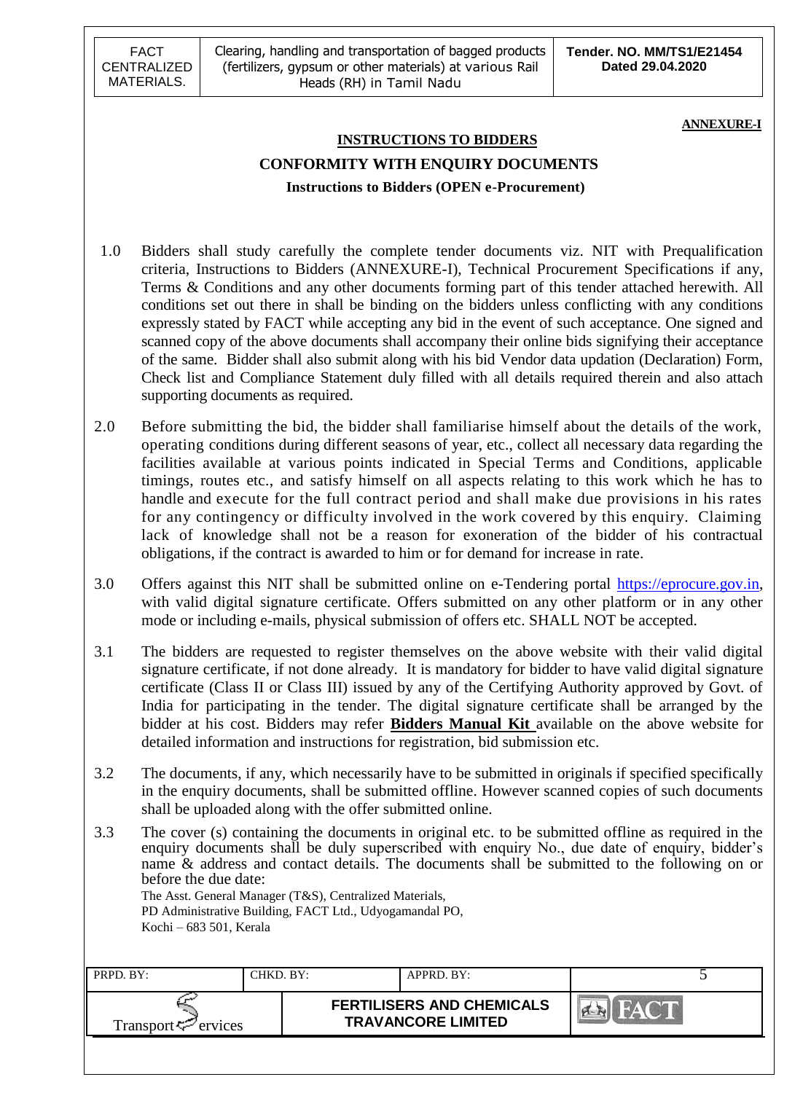**ANNEXURE-I**

# **INSTRUCTIONS TO BIDDERS CONFORMITY WITH ENQUIRY DOCUMENTS Instructions to Bidders (OPEN e-Procurement)**

- 1.0 Bidders shall study carefully the complete tender documents viz. NIT with Prequalification criteria, Instructions to Bidders (ANNEXURE-I), Technical Procurement Specifications if any, Terms & Conditions and any other documents forming part of this tender attached herewith. All conditions set out there in shall be binding on the bidders unless conflicting with any conditions expressly stated by FACT while accepting any bid in the event of such acceptance. One signed and scanned copy of the above documents shall accompany their online bids signifying their acceptance of the same. Bidder shall also submit along with his bid Vendor data updation (Declaration) Form, Check list and Compliance Statement duly filled with all details required therein and also attach supporting documents as required.
- 2.0 Before submitting the bid, the bidder shall familiarise himself about the details of the work, operating conditions during different seasons of year, etc., collect all necessary data regarding the facilities available at various points indicated in Special Terms and Conditions, applicable timings, routes etc., and satisfy himself on all aspects relating to this work which he has to handle and execute for the full contract period and shall make due provisions in his rates for any contingency or difficulty involved in the work covered by this enquiry. Claiming lack of knowledge shall not be a reason for exoneration of the bidder of his contractual obligations, if the contract is awarded to him or for demand for increase in rate.
- 3.0 Offers against this NIT shall be submitted online on e-Tendering portal [https://eprocure.gov.in,](https://eprocure.gov.in/) with valid digital signature certificate. Offers submitted on any other platform or in any other mode or including e-mails, physical submission of offers etc. SHALL NOT be accepted.
- 3.1 The bidders are requested to register themselves on the above website with their valid digital signature certificate, if not done already. It is mandatory for bidder to have valid digital signature certificate (Class II or Class III) issued by any of the Certifying Authority approved by Govt. of India for participating in the tender. The digital signature certificate shall be arranged by the bidder at his cost. Bidders may refer **Bidders Manual Kit** available on the above website for detailed information and instructions for registration, bid submission etc.
- 3.2 The documents, if any, which necessarily have to be submitted in originals if specified specifically in the enquiry documents, shall be submitted offline. However scanned copies of such documents shall be uploaded along with the offer submitted online.
- 3.3 The cover (s) containing the documents in original etc. to be submitted offline as required in the enquiry documents shall be duly superscribed with enquiry No., due date of enquiry, bidder"s name & address and contact details. The documents shall be submitted to the following on or before the due date: The Asst. General Manager (T&S), Centralized Materials,

PD Administrative Building, FACT Ltd., Udyogamandal PO, Kochi – 683 501, Kerala

| PRPD. BY:                                      | CHKD. BY: | APPRD. BY:                                                    |                                      |
|------------------------------------------------|-----------|---------------------------------------------------------------|--------------------------------------|
| Transport <sup><math>\leq</math></sup> ervices |           | <b>FERTILISERS AND CHEMICALS</b><br><b>TRAVANCORE LIMITED</b> | $\frac{1}{n}$ $\triangle$ $\sqrt{ }$ |
|                                                |           |                                                               |                                      |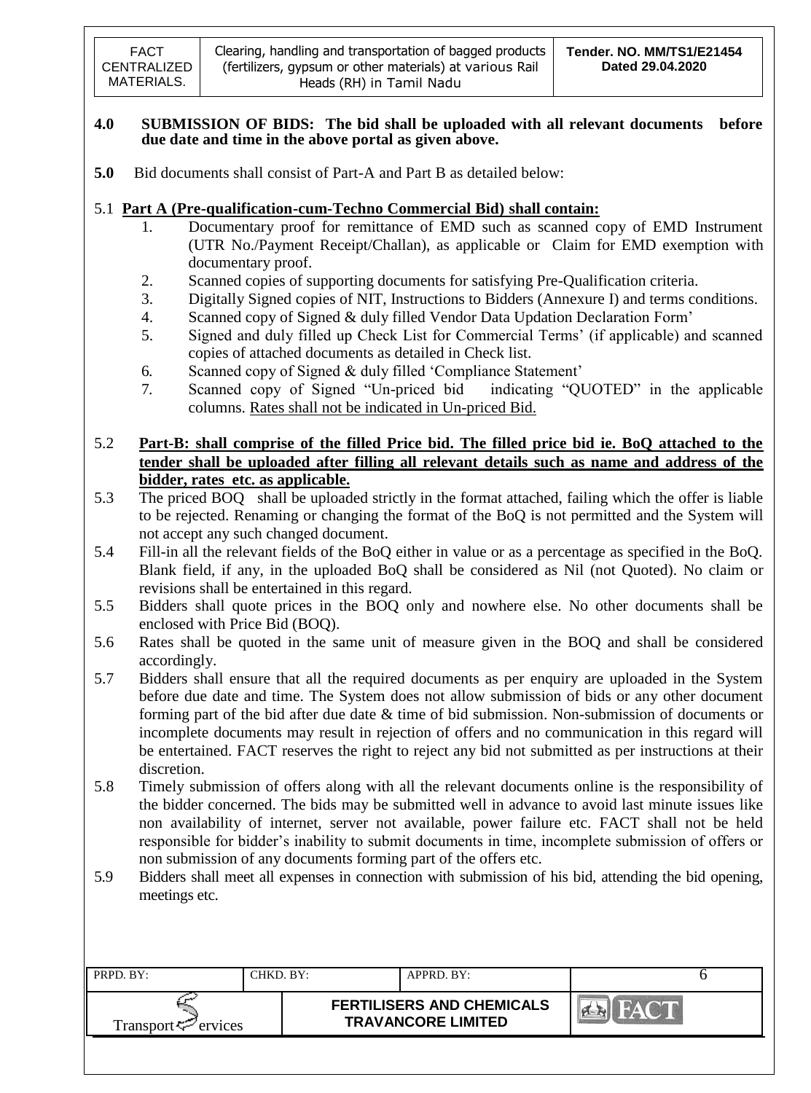### **4.0 SUBMISSION OF BIDS: The bid shall be uploaded with all relevant documents before due date and time in the above portal as given above.**

**5.0** Bid documents shall consist of Part-A and Part B as detailed below:

## 5.1 **Part A (Pre-qualification-cum-Techno Commercial Bid) shall contain:**

- 1. Documentary proof for remittance of EMD such as scanned copy of EMD Instrument (UTR No./Payment Receipt/Challan), as applicable or Claim for EMD exemption with documentary proof.
- 2. Scanned copies of supporting documents for satisfying Pre-Qualification criteria.
- 3. Digitally Signed copies of NIT, Instructions to Bidders (Annexure I) and terms conditions.
- 4. Scanned copy of Signed & duly filled Vendor Data Updation Declaration Form"
- 5. Signed and duly filled up Check List for Commercial Terms" (if applicable) and scanned copies of attached documents as detailed in Check list.
- 6. Scanned copy of Signed & duly filled "Compliance Statement"
- 7. Scanned copy of Signed "Un-priced bid indicating "QUOTED" in the applicable columns. Rates shall not be indicated in Un-priced Bid.

# 5.2 **Part-B: shall comprise of the filled Price bid. The filled price bid ie. BoQ attached to the tender shall be uploaded after filling all relevant details such as name and address of the bidder, rates etc. as applicable.**

- 5.3 The priced BOQ shall be uploaded strictly in the format attached, failing which the offer is liable to be rejected. Renaming or changing the format of the BoQ is not permitted and the System will not accept any such changed document.
- 5.4 Fill-in all the relevant fields of the BoQ either in value or as a percentage as specified in the BoQ. Blank field, if any, in the uploaded BoQ shall be considered as Nil (not Quoted). No claim or revisions shall be entertained in this regard.
- 5.5 Bidders shall quote prices in the BOQ only and nowhere else. No other documents shall be enclosed with Price Bid (BOQ).
- 5.6 Rates shall be quoted in the same unit of measure given in the BOQ and shall be considered accordingly.
- 5.7 Bidders shall ensure that all the required documents as per enquiry are uploaded in the System before due date and time. The System does not allow submission of bids or any other document forming part of the bid after due date & time of bid submission. Non-submission of documents or incomplete documents may result in rejection of offers and no communication in this regard will be entertained. FACT reserves the right to reject any bid not submitted as per instructions at their discretion.
- 5.8 Timely submission of offers along with all the relevant documents online is the responsibility of the bidder concerned. The bids may be submitted well in advance to avoid last minute issues like non availability of internet, server not available, power failure etc. FACT shall not be held responsible for bidder"s inability to submit documents in time, incomplete submission of offers or non submission of any documents forming part of the offers etc.
- 5.9 Bidders shall meet all expenses in connection with submission of his bid, attending the bid opening, meetings etc.

| PRPD. BY:                      | CHKD. BY: | APPRD. BY:                                                    |  |
|--------------------------------|-----------|---------------------------------------------------------------|--|
| Transport <sup>7</sup> ervices |           | <b>FERTILISERS AND CHEMICALS</b><br><b>TRAVANCORE LIMITED</b> |  |
|                                |           |                                                               |  |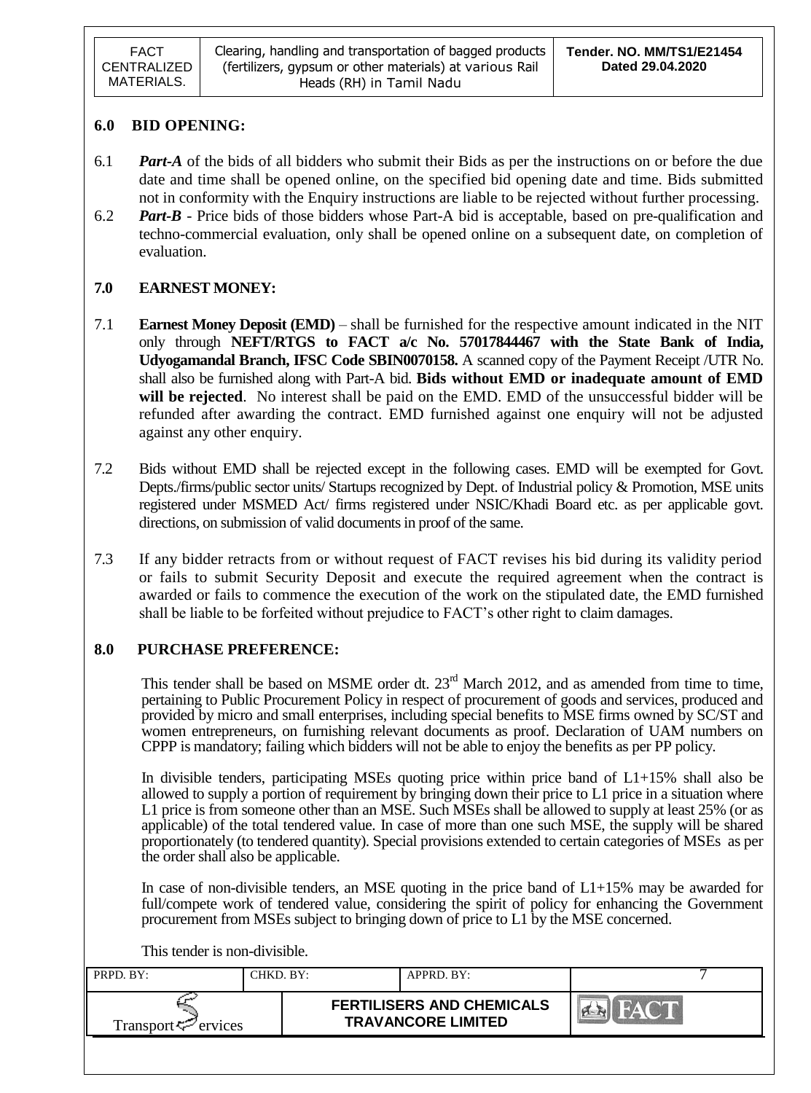### **6.0 BID OPENING:**

- 6.1 *Part-A* of the bids of all bidders who submit their Bids as per the instructions on or before the due date and time shall be opened online, on the specified bid opening date and time. Bids submitted not in conformity with the Enquiry instructions are liable to be rejected without further processing.
- 6.2 *Part-B* Price bids of those bidders whose Part-A bid is acceptable, based on pre-qualification and techno-commercial evaluation, only shall be opened online on a subsequent date, on completion of evaluation.

## **7.0 EARNEST MONEY:**

- 7.1 **Earnest Money Deposit (EMD)** shall be furnished for the respective amount indicated in the NIT only through **NEFT/RTGS to FACT a/c No. 57017844467 with the State Bank of India, Udyogamandal Branch, IFSC Code SBIN0070158.** A scanned copy of the Payment Receipt /UTR No. shall also be furnished along with Part-A bid. **Bids without EMD or inadequate amount of EMD will be rejected**. No interest shall be paid on the EMD. EMD of the unsuccessful bidder will be refunded after awarding the contract. EMD furnished against one enquiry will not be adjusted against any other enquiry.
- 7.2 Bids without EMD shall be rejected except in the following cases. EMD will be exempted for Govt. Depts./firms/public sector units/ Startups recognized by Dept. of Industrial policy & Promotion, MSE units registered under MSMED Act/ firms registered under NSIC/Khadi Board etc. as per applicable govt. directions, on submission of valid documents in proof of the same.
- 7.3 If any bidder retracts from or without request of FACT revises his bid during its validity period or fails to submit Security Deposit and execute the required agreement when the contract is awarded or fails to commence the execution of the work on the stipulated date, the EMD furnished shall be liable to be forfeited without prejudice to FACT"s other right to claim damages.

## **8.0 PURCHASE PREFERENCE:**

This tender shall be based on MSME order dt.  $23<sup>rd</sup>$  March 2012, and as amended from time to time, pertaining to Public Procurement Policy in respect of procurement of goods and services, produced and provided by micro and small enterprises, including special benefits to MSE firms owned by SC/ST and women entrepreneurs, on furnishing relevant documents as proof. Declaration of UAM numbers on CPPP is mandatory; failing which bidders will not be able to enjoy the benefits as per PP policy.

In divisible tenders, participating MSEs quoting price within price band of L1+15% shall also be allowed to supply a portion of requirement by bringing down their price to L1 price in a situation where L1 price is from someone other than an MSE. Such MSEs shall be allowed to supply at least 25% (or as applicable) of the total tendered value. In case of more than one such MSE, the supply will be shared proportionately (to tendered quantity). Special provisions extended to certain categories of MSEs as per the order shall also be applicable.

In case of non-divisible tenders, an MSE quoting in the price band of  $L1+15%$  may be awarded for full/compete work of tendered value, considering the spirit of policy for enhancing the Government procurement from MSEs subject to bringing down of price to L1 by the MSE concerned.

This tender is non-divisible.

| PRPD. BY:                   | CHKD. BY: | APPRD. BY:                                                    |  |
|-----------------------------|-----------|---------------------------------------------------------------|--|
| Transport $\varphi$ ervices |           | <b>FERTILISERS AND CHEMICALS</b><br><b>TRAVANCORE LIMITED</b> |  |
|                             |           |                                                               |  |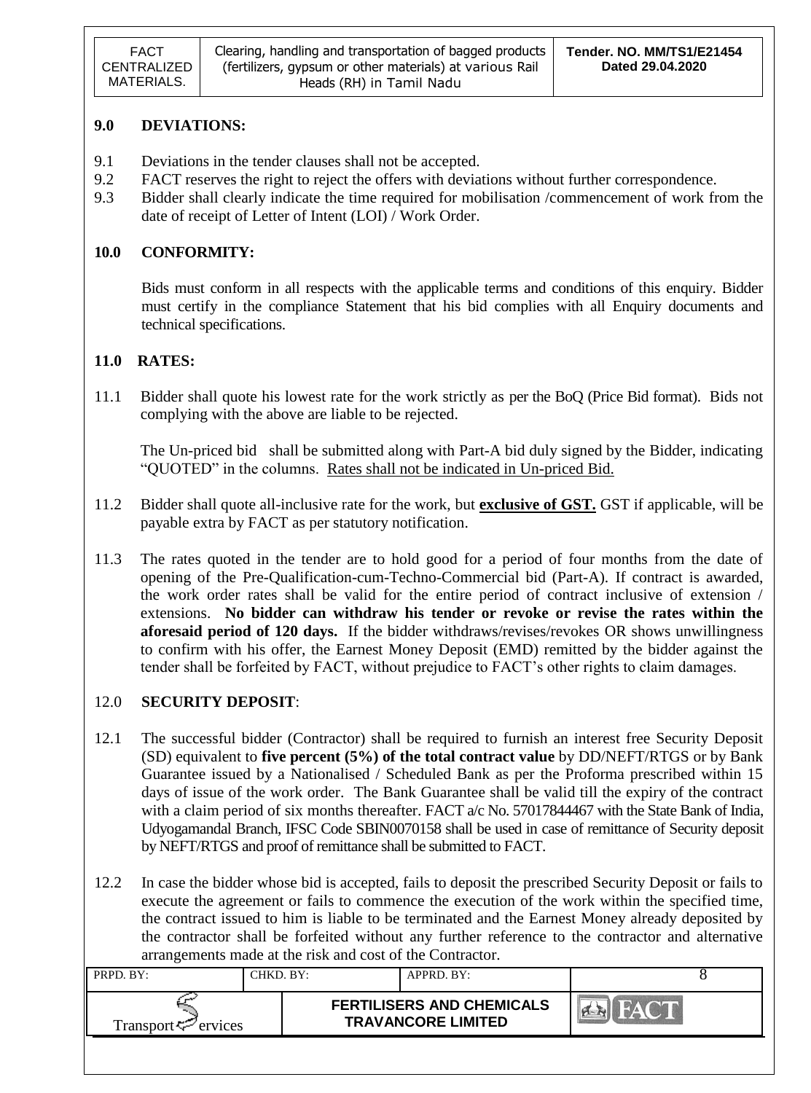## **9.0 DEVIATIONS:**

- 9.1 Deviations in the tender clauses shall not be accepted.
- 9.2 FACT reserves the right to reject the offers with deviations without further correspondence.
- 9.3 Bidder shall clearly indicate the time required for mobilisation /commencement of work from the date of receipt of Letter of Intent (LOI) / Work Order.

## **10.0 CONFORMITY:**

Bids must conform in all respects with the applicable terms and conditions of this enquiry. Bidder must certify in the compliance Statement that his bid complies with all Enquiry documents and technical specifications.

## **11.0 RATES:**

11.1 Bidder shall quote his lowest rate for the work strictly as per the BoQ (Price Bid format). Bids not complying with the above are liable to be rejected.

The Un-priced bid shall be submitted along with Part-A bid duly signed by the Bidder, indicating "QUOTED" in the columns. Rates shall not be indicated in Un-priced Bid.

- 11.2 Bidder shall quote all-inclusive rate for the work, but **exclusive of GST.** GST if applicable, will be payable extra by FACT as per statutory notification.
- 11.3 The rates quoted in the tender are to hold good for a period of four months from the date of opening of the Pre-Qualification-cum-Techno-Commercial bid (Part-A). If contract is awarded, the work order rates shall be valid for the entire period of contract inclusive of extension / extensions. **No bidder can withdraw his tender or revoke or revise the rates within the aforesaid period of 120 days.** If the bidder withdraws/revises/revokes OR shows unwillingness to confirm with his offer, the Earnest Money Deposit (EMD) remitted by the bidder against the tender shall be forfeited by FACT, without prejudice to FACT"s other rights to claim damages.

## 12.0 **SECURITY DEPOSIT**:

- 12.1 The successful bidder (Contractor) shall be required to furnish an interest free Security Deposit (SD) equivalent to **five percent (5%) of the total contract value** by DD/NEFT/RTGS or by Bank Guarantee issued by a Nationalised / Scheduled Bank as per the Proforma prescribed within 15 days of issue of the work order. The Bank Guarantee shall be valid till the expiry of the contract with a claim period of six months thereafter. FACT a/c No. 57017844467 with the State Bank of India, Udyogamandal Branch, IFSC Code SBIN0070158 shall be used in case of remittance of Security deposit by NEFT/RTGS and proof of remittance shall be submitted to FACT.
- 12.2 In case the bidder whose bid is accepted, fails to deposit the prescribed Security Deposit or fails to execute the agreement or fails to commence the execution of the work within the specified time, the contract issued to him is liable to be terminated and the Earnest Money already deposited by the contractor shall be forfeited without any further reference to the contractor and alternative arrangements made at the risk and cost of the Contractor.

| PRPD. BY:                       | CHKD. BY: | APPRD. BY:                                                    |  |
|---------------------------------|-----------|---------------------------------------------------------------|--|
| Transport <sup>ry</sup> ervices |           | <b>FERTILISERS AND CHEMICALS</b><br><b>TRAVANCORE LIMITED</b> |  |
|                                 |           |                                                               |  |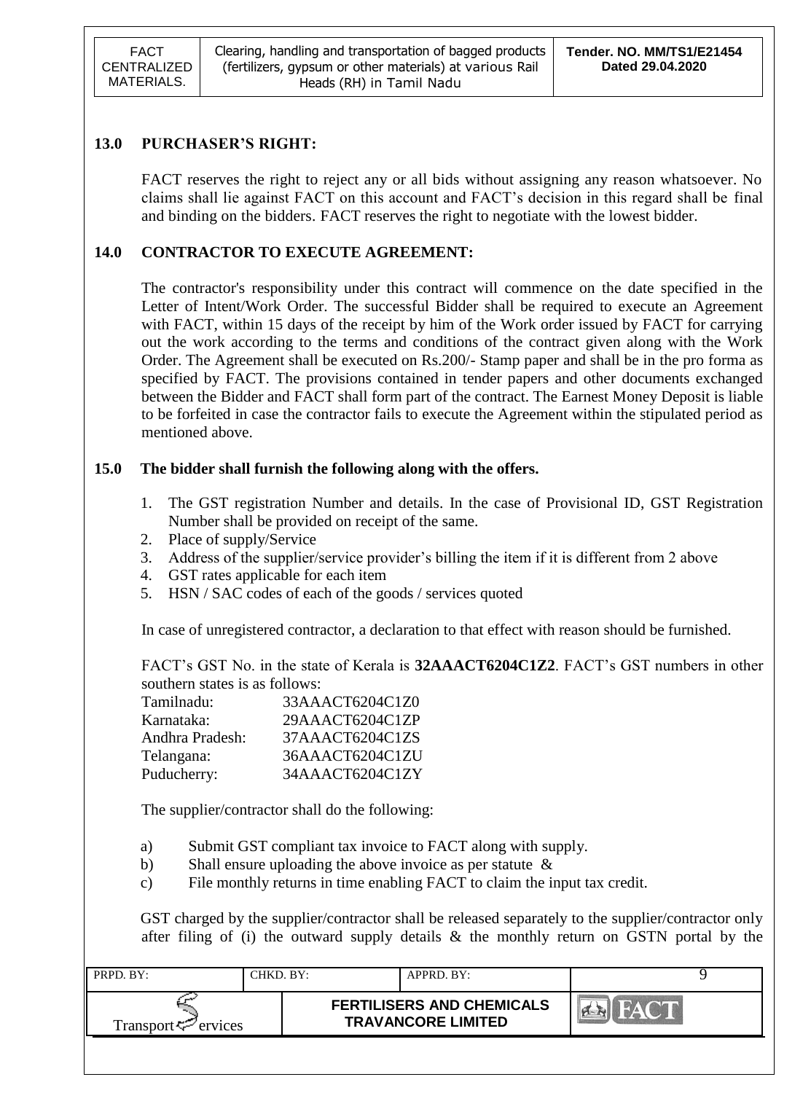FACT CENTRALIZED MATERIALS.

## **13.0 PURCHASER'S RIGHT:**

FACT reserves the right to reject any or all bids without assigning any reason whatsoever. No claims shall lie against FACT on this account and FACT"s decision in this regard shall be final and binding on the bidders. FACT reserves the right to negotiate with the lowest bidder.

## **14.0 CONTRACTOR TO EXECUTE AGREEMENT:**

The contractor's responsibility under this contract will commence on the date specified in the Letter of Intent/Work Order. The successful Bidder shall be required to execute an Agreement with FACT, within 15 days of the receipt by him of the Work order issued by FACT for carrying out the work according to the terms and conditions of the contract given along with the Work Order. The Agreement shall be executed on Rs.200/- Stamp paper and shall be in the pro forma as specified by FACT. The provisions contained in tender papers and other documents exchanged between the Bidder and FACT shall form part of the contract. The Earnest Money Deposit is liable to be forfeited in case the contractor fails to execute the Agreement within the stipulated period as mentioned above.

### **15.0 The bidder shall furnish the following along with the offers.**

- 1. The GST registration Number and details. In the case of Provisional ID, GST Registration Number shall be provided on receipt of the same.
- 2. Place of supply/Service
- 3. Address of the supplier/service provider's billing the item if it is different from 2 above
- 4. GST rates applicable for each item
- 5. HSN / SAC codes of each of the goods / services quoted

In case of unregistered contractor, a declaration to that effect with reason should be furnished.

FACT"s GST No. in the state of Kerala is **32AAACT6204C1Z2**. FACT"s GST numbers in other southern states is as follows:

| Tamilnadu:      | 33AAACT6204C1Z0 |
|-----------------|-----------------|
| Karnataka:      | 29AAACT6204C1ZP |
| Andhra Pradesh: | 37AAACT6204C1ZS |
| Telangana:      | 36AAACT6204C1ZU |
| Puducherry:     | 34AAACT6204C1ZY |

The supplier/contractor shall do the following:

- a) Submit GST compliant tax invoice to FACT along with supply.
- b) Shall ensure uploading the above invoice as per statute &
- c) File monthly returns in time enabling FACT to claim the input tax credit.

GST charged by the supplier/contractor shall be released separately to the supplier/contractor only after filing of (i) the outward supply details & the monthly return on GSTN portal by the

| PRPD. BY:                                            | CHKD. BY: | APPRD. BY:                                                    |  |
|------------------------------------------------------|-----------|---------------------------------------------------------------|--|
| Transport <sup>-</sup> <i>c</i> <sup>-</sup> ervices |           | <b>FERTILISERS AND CHEMICALS</b><br><b>TRAVANCORE LIMITED</b> |  |
|                                                      |           |                                                               |  |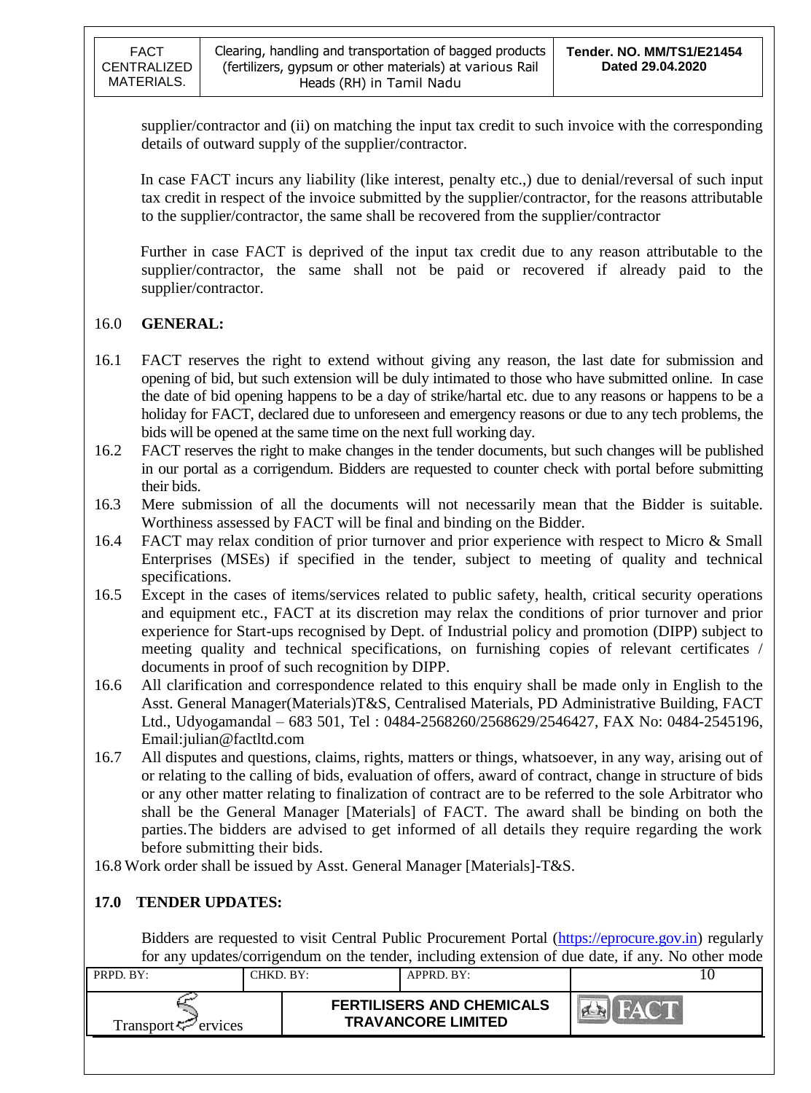supplier/contractor and (ii) on matching the input tax credit to such invoice with the corresponding details of outward supply of the supplier/contractor.

In case FACT incurs any liability (like interest, penalty etc.,) due to denial/reversal of such input tax credit in respect of the invoice submitted by the supplier/contractor, for the reasons attributable to the supplier/contractor, the same shall be recovered from the supplier/contractor

Further in case FACT is deprived of the input tax credit due to any reason attributable to the supplier/contractor, the same shall not be paid or recovered if already paid to the supplier/contractor.

## 16.0 **GENERAL:**

- 16.1 FACT reserves the right to extend without giving any reason, the last date for submission and opening of bid, but such extension will be duly intimated to those who have submitted online. In case the date of bid opening happens to be a day of strike/hartal etc. due to any reasons or happens to be a holiday for FACT, declared due to unforeseen and emergency reasons or due to any tech problems, the bids will be opened at the same time on the next full working day.
- 16.2 FACT reserves the right to make changes in the tender documents, but such changes will be published in our portal as a corrigendum. Bidders are requested to counter check with portal before submitting their bids.
- 16.3 Mere submission of all the documents will not necessarily mean that the Bidder is suitable. Worthiness assessed by FACT will be final and binding on the Bidder.
- 16.4 FACT may relax condition of prior turnover and prior experience with respect to Micro & Small Enterprises (MSEs) if specified in the tender, subject to meeting of quality and technical specifications.
- 16.5 Except in the cases of items/services related to public safety, health, critical security operations and equipment etc., FACT at its discretion may relax the conditions of prior turnover and prior experience for Start-ups recognised by Dept. of Industrial policy and promotion (DIPP) subject to meeting quality and technical specifications, on furnishing copies of relevant certificates / documents in proof of such recognition by DIPP.
- 16.6 All clarification and correspondence related to this enquiry shall be made only in English to the Asst. General Manager(Materials)T&S, Centralised Materials, PD Administrative Building, FACT Ltd., Udyogamandal – 683 501, Tel : 0484-2568260/2568629/2546427, FAX No: 0484-2545196, Email:julian@factltd.com
- 16.7 All disputes and questions, claims, rights, matters or things, whatsoever, in any way, arising out of or relating to the calling of bids, evaluation of offers, award of contract, change in structure of bids or any other matter relating to finalization of contract are to be referred to the sole Arbitrator who shall be the General Manager [Materials] of FACT. The award shall be binding on both the parties.The bidders are advised to get informed of all details they require regarding the work before submitting their bids.

16.8 Work order shall be issued by Asst. General Manager [Materials]-T&S.

## **17.0 TENDER UPDATES:**

Bidders are requested to visit Central Public Procurement Portal [\(https://eprocure.gov.in\)](https://eprocure.gov.in/) regularly for any updates/corrigendum on the tender, including extension of due date, if any. No other mode

| PRPD. BY: |                                 | CHKD. BY: | APPRD. BY:                                                    |  |
|-----------|---------------------------------|-----------|---------------------------------------------------------------|--|
|           | Transport <sup>ry</sup> ervices |           | <b>FERTILISERS AND CHEMICALS</b><br><b>TRAVANCORE LIMITED</b> |  |
|           |                                 |           |                                                               |  |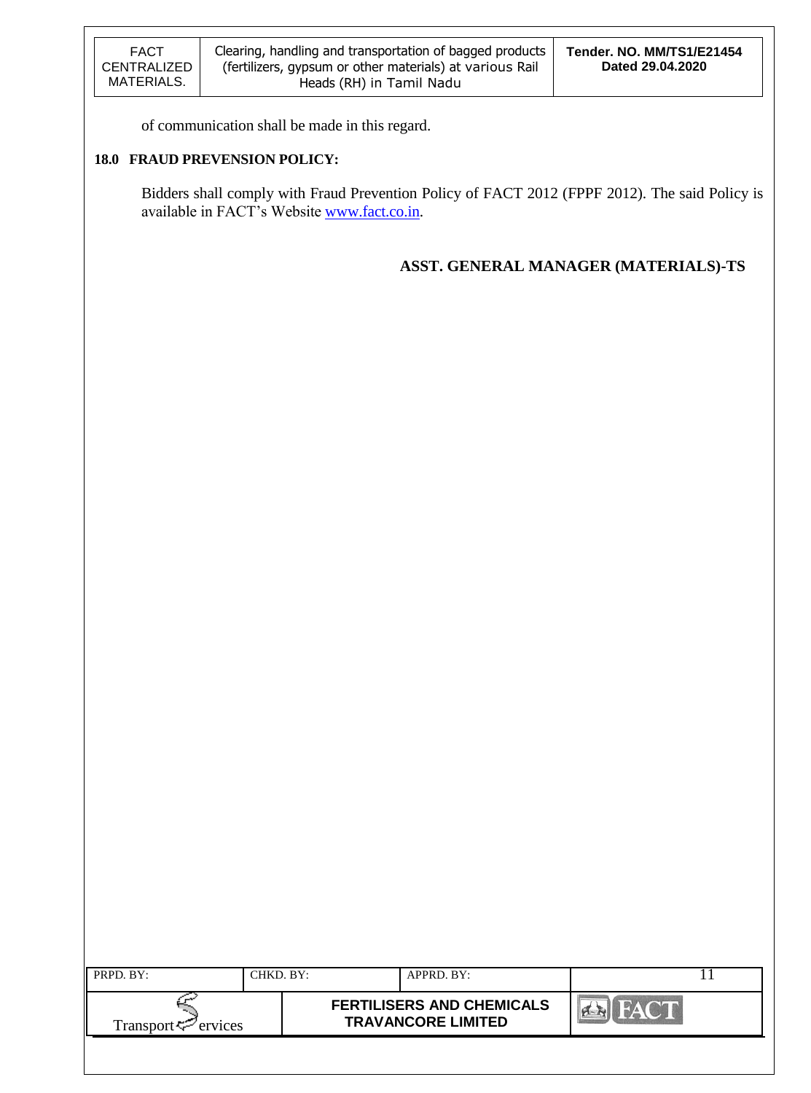of communication shall be made in this regard.

### **18.0 FRAUD PREVENSION POLICY:**

Bidders shall comply with Fraud Prevention Policy of FACT 2012 (FPPF 2012). The said Policy is available in FACT"s Website [www.fact.co.in.](http://www.fact.co.in/)

## **ASST. GENERAL MANAGER (MATERIALS)-TS**

| PRPD. BY:                       | CHKD. BY: | APPRD. BY:                                                    |  |
|---------------------------------|-----------|---------------------------------------------------------------|--|
| Transport <sup>ry</sup> ervices |           | <b>FERTILISERS AND CHEMICALS</b><br><b>TRAVANCORE LIMITED</b> |  |
|                                 |           |                                                               |  |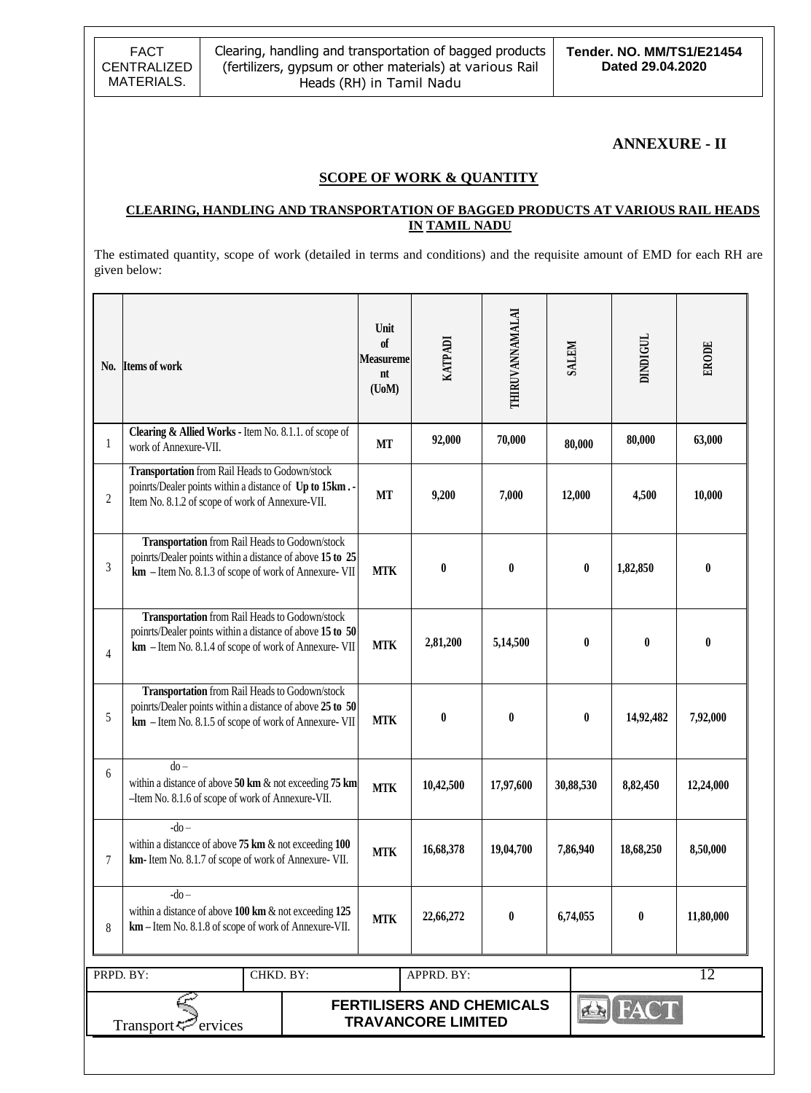FACT CENTRALIZED MATERIALS.

### **ANNEXURE - II**

### **SCOPE OF WORK & QUANTITY**

### **CLEARING, HANDLING AND TRANSPORTATION OF BAGGED PRODUCTS AT VARIOUS RAIL HEADS IN TAMIL NADU**

The estimated quantity, scope of work (detailed in terms and conditions) and the requisite amount of EMD for each RH are given below:

| N <sub>0</sub> . | <b>Items of work</b>                                                                                                                                                | Unit<br>of<br>Measureme<br>nt<br>$($ UoM $)$ | KATPADI          | THIRUVANNAMALAI  | <b>SALEM</b> |                  | DINDIGUL  | ERODE     |
|------------------|---------------------------------------------------------------------------------------------------------------------------------------------------------------------|----------------------------------------------|------------------|------------------|--------------|------------------|-----------|-----------|
| 1                | Clearing & Allied Works - Item No. 8.1.1. of scope of<br>work of Annexure-VII.                                                                                      | <b>MT</b>                                    | 92,000           | 70,000           | 80,000       |                  | 80,000    | 63,000    |
| $\overline{c}$   | Transportation from Rail Heads to Godown/stock<br>points/Dealer points within a distance of Up to 15km.<br>Item No. 8.1.2 of scope of work of Annexure-VII.         | <b>MT</b>                                    | 9,200            | 7,000            | 12,000       |                  | 4,500     | 10,000    |
| 3                | Transportation from Rail Heads to Godown/stock<br>points/Dealer points within a distance of above 15 to 25<br>km - Item No. 8.1.3 of scope of work of Annexure- VII | <b>MTK</b>                                   | $\bf{0}$         | $\bf{0}$         |              | $\pmb{0}$        | 1,82,850  | $\bf{0}$  |
| $\overline{4}$   | Transportation from Rail Heads to Godown/stock<br>points/Dealer points within a distance of above 15 to 50<br>km - Item No. 8.1.4 of scope of work of Annexure- VII | <b>MTK</b>                                   | 2,81,200         | 5,14,500         |              | $\bf{0}$         | $\bf{0}$  | 0         |
| 5                | Transportation from Rail Heads to Godown/stock<br>points/Dealer points within a distance of above 25 to 50<br>km - Item No. 8.1.5 of scope of work of Annexure- VII | <b>MTK</b>                                   | $\boldsymbol{0}$ | $\mathbf{0}$     |              | $\boldsymbol{0}$ | 14,92,482 | 7,92,000  |
| 6                | $do -$<br>within a distance of above $50 \text{ km}$ & not exceeding 75 km<br>-Item No. 8.1.6 of scope of work of Annexure-VII.                                     | <b>MTK</b>                                   | 10,42,500        | 17,97,600        | 30,88,530    |                  | 8,82,450  | 12,24,000 |
| 7                | $-do-$<br>within a distance of above $75 \text{ km}$ & not exceeding $100$<br>km-Item No. 8.1.7 of scope of work of Annexure-VII.                                   | <b>MTK</b>                                   | 16,68,378        | 19,04,700        | 7,86,940     |                  | 18,68,250 | 8,50,000  |
| 8                | $-do-$<br>within a distance of above $100 \text{ km}$ & not exceeding $125$<br>km - Item No. 8.1.8 of scope of work of Annexure-VII.                                | <b>MTK</b>                                   | 22,66,272        | $\boldsymbol{0}$ | 6,74,055     |                  | $\bf{0}$  | 11,80,000 |
|                  | CHKD. BY:                                                                                                                                                           |                                              | APPRD. BY:       |                  |              |                  |           | 12        |
|                  | PRPD. BY:<br><b>FERTILISERS AND CHEMICALS</b><br><b>FACT</b><br>f(x)<br><b>TRAVANCORE LIMITED</b><br>Transport <sup>52</sup><br>ervices                             |                                              |                  |                  |              |                  |           |           |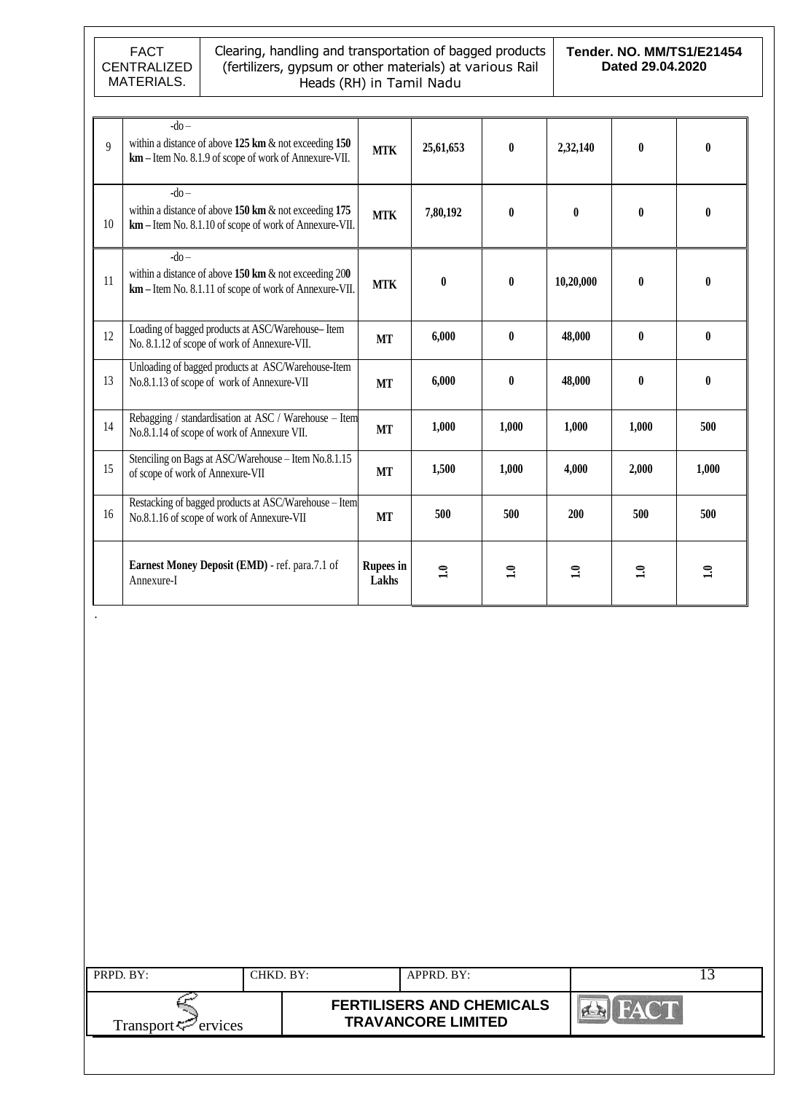

.

#### Clearing, handling and transportation of bagged products (fertilizers, gypsum or other materials) at various Rail Heads (RH) in Tamil Nadu

**Tender. NO. MM/TS1/E21454 Dated 29.04.2020**

| $\overline{9}$ | $-do$<br>within a distance of above $125 \text{ km} \& \text{ not exceeding } 150$<br>km – Item No. 8.1.9 of scope of work of Annexure-VII.   | <b>MTK</b>                | 25,61,653    | $\mathbf{0}$   | 2,32,140     | $\mathbf{0}$ | 0            |
|----------------|-----------------------------------------------------------------------------------------------------------------------------------------------|---------------------------|--------------|----------------|--------------|--------------|--------------|
| 10             | $-do-$<br>within a distance of above $150 \text{ km}$ & not exceeding $175$<br>km - Item No. 8.1.10 of scope of work of Annexure-VII.         | <b>MTK</b>                | 7,80,192     | $\mathbf{0}$   | $\mathbf{0}$ | $\mathbf{0}$ | 0            |
| 11             | $-do-$<br>within a distance of above $150 \text{ km} \& \text{ not exceeding } 200$<br>km - Item No. 8.1.11 of scope of work of Annexure-VII. | <b>MTK</b>                | $\mathbf{0}$ | $\mathbf{0}$   | 10,20,000    | $\mathbf{0}$ | 0            |
| 12             | Loading of bagged products at ASC/Warehouse-Item<br>No. 8.1.12 of scope of work of Annexure-VII.                                              | MT                        | 6,000        | $\bf{0}$       | 48,000       | $\mathbf{0}$ | $\mathbf{0}$ |
| 13             | Unloading of bagged products at ASC/Warehouse-Item<br>No.8.1.13 of scope of work of Annexure-VII                                              | MT                        | 6,000        | $\mathbf{0}$   | 48,000       | $\mathbf{0}$ | 0            |
| 14             | Rebagging / standardisation at ASC / Warehouse - Item<br>No.8.1.14 of scope of work of Annexure VII.                                          | <b>MT</b>                 | 1,000        | 1,000          | 1,000        | 1,000        | 500          |
| 15             | Stenciling on Bags at ASC/Warehouse - Item No.8.1.15<br>of scope of work of Annexure-VII                                                      | <b>MT</b>                 | 1,500        | 1,000          | 4,000        | 2,000        | 1,000        |
| 16             | Restacking of bagged products at ASC/Warehouse - Item<br>No.8.1.16 of scope of work of Annexure-VII                                           | <b>MT</b>                 | 500          | 500            | 200          | 500          | 500          |
|                | Earnest Money Deposit (EMD) - ref. para.7.1 of<br>Annexure-I                                                                                  | <b>Rupees</b> in<br>Lakhs | $\mathbf{r}$ | $\mathbf{\Xi}$ | $\Xi$        | $\mathbf{r}$ | $\mathbf{S}$ |

| CHKD. BY: |  |                                                                             |
|-----------|--|-----------------------------------------------------------------------------|
|           |  |                                                                             |
|           |  | APPRD. BY:<br><b>FERTILISERS AND CHEMICALS</b><br><b>TRAVANCORE LIMITED</b> |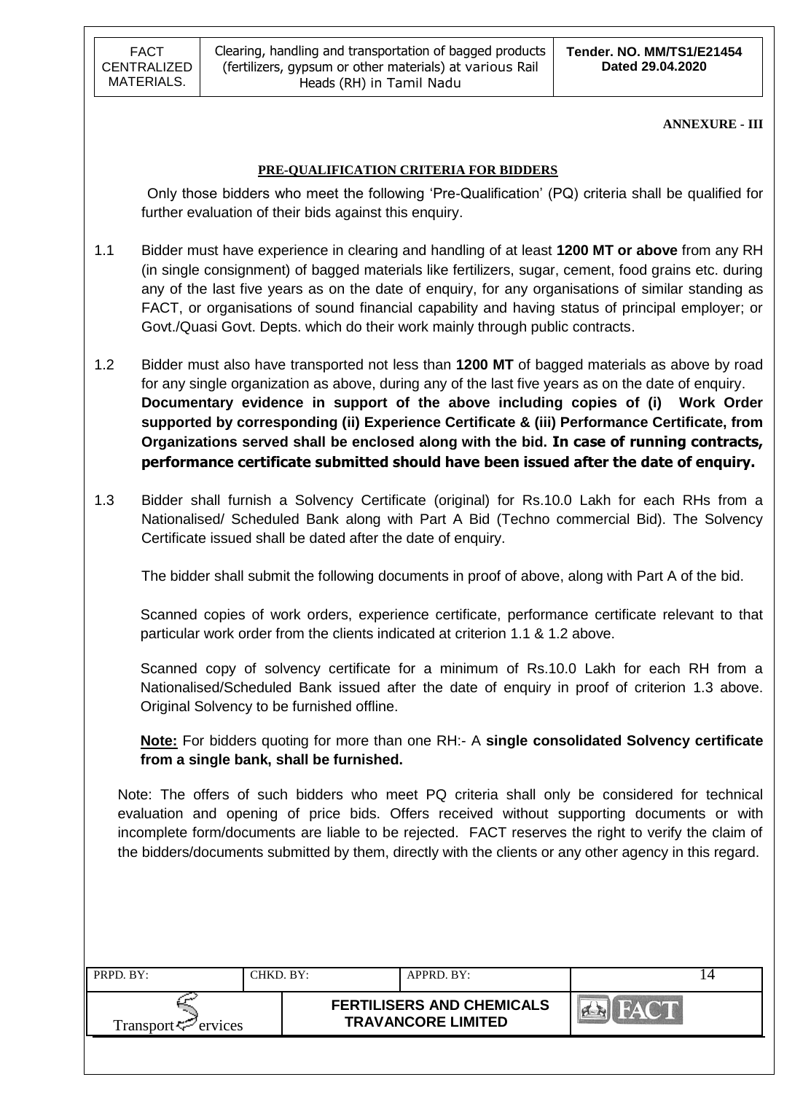FACT CENTRALIZED MATERIALS.

**ANNEXURE - III**

### **PRE-QUALIFICATION CRITERIA FOR BIDDERS**

Only those bidders who meet the following "Pre-Qualification" (PQ) criteria shall be qualified for further evaluation of their bids against this enquiry.

- 1.1 Bidder must have experience in clearing and handling of at least **1200 MT or above** from any RH (in single consignment) of bagged materials like fertilizers, sugar, cement, food grains etc. during any of the last five years as on the date of enquiry, for any organisations of similar standing as FACT, or organisations of sound financial capability and having status of principal employer; or Govt./Quasi Govt. Depts. which do their work mainly through public contracts.
- 1.2 Bidder must also have transported not less than **1200 MT** of bagged materials as above by road for any single organization as above, during any of the last five years as on the date of enquiry. **Documentary evidence in support of the above including copies of (i) Work Order supported by corresponding (ii) Experience Certificate & (iii) Performance Certificate, from Organizations served shall be enclosed along with the bid. In case of running contracts, performance certificate submitted should have been issued after the date of enquiry.**
- 1.3 Bidder shall furnish a Solvency Certificate (original) for Rs.10.0 Lakh for each RHs from a Nationalised/ Scheduled Bank along with Part A Bid (Techno commercial Bid). The Solvency Certificate issued shall be dated after the date of enquiry.

The bidder shall submit the following documents in proof of above, along with Part A of the bid.

Scanned copies of work orders, experience certificate, performance certificate relevant to that particular work order from the clients indicated at criterion 1.1 & 1.2 above.

Scanned copy of solvency certificate for a minimum of Rs.10.0 Lakh for each RH from a Nationalised/Scheduled Bank issued after the date of enquiry in proof of criterion 1.3 above. Original Solvency to be furnished offline.

**Note:** For bidders quoting for more than one RH:- A **single consolidated Solvency certificate from a single bank, shall be furnished.**

Note: The offers of such bidders who meet PQ criteria shall only be considered for technical evaluation and opening of price bids. Offers received without supporting documents or with incomplete form/documents are liable to be rejected. FACT reserves the right to verify the claim of the bidders/documents submitted by them, directly with the clients or any other agency in this regard.

| Transport <sup>7</sup> ervices | <b>FERTILISERS AND CHEMICALS</b><br><b>TRAVANCORE LIMITED</b> |  |
|--------------------------------|---------------------------------------------------------------|--|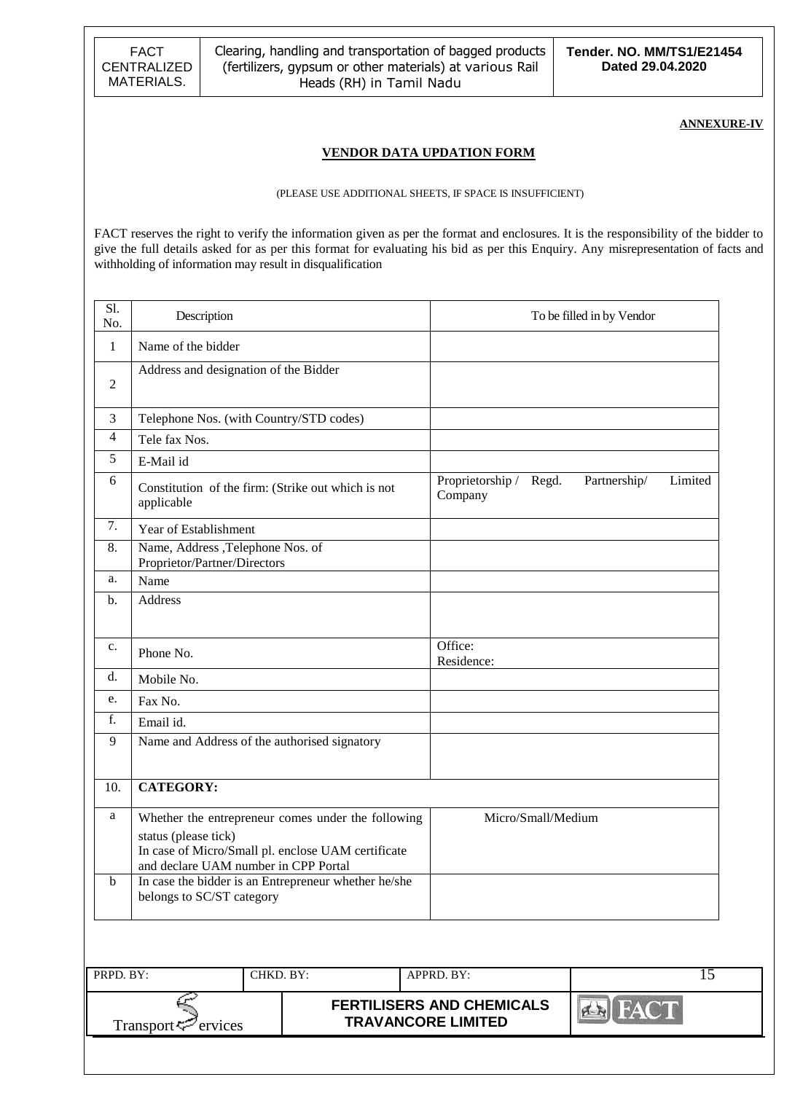FACT CENTRALIZED MATERIALS.

Clearing, handling and transportation of bagged products (fertilizers, gypsum or other materials) at various Rail Heads (RH) in Tamil Nadu

**ANNEXURE-IV**

#### **VENDOR DATA UPDATION FORM**

#### (PLEASE USE ADDITIONAL SHEETS, IF SPACE IS INSUFFICIENT)

FACT reserves the right to verify the information given as per the format and enclosures. It is the responsibility of the bidder to give the full details asked for as per this format for evaluating his bid as per this Enquiry. Any misrepresentation of facts and withholding of information may result in disqualification

| S1.<br>No.     | Description                                                                                                                                                                                                                                                   |           |                                                               |                    | To be filled in by Vendor |         |
|----------------|---------------------------------------------------------------------------------------------------------------------------------------------------------------------------------------------------------------------------------------------------------------|-----------|---------------------------------------------------------------|--------------------|---------------------------|---------|
| 1              | Name of the bidder                                                                                                                                                                                                                                            |           |                                                               |                    |                           |         |
| $\overline{2}$ | Address and designation of the Bidder                                                                                                                                                                                                                         |           |                                                               |                    |                           |         |
| 3              | Telephone Nos. (with Country/STD codes)                                                                                                                                                                                                                       |           |                                                               |                    |                           |         |
| 4              | Tele fax Nos.                                                                                                                                                                                                                                                 |           |                                                               |                    |                           |         |
| 5              | E-Mail id                                                                                                                                                                                                                                                     |           |                                                               |                    |                           |         |
| 6              | Constitution of the firm: (Strike out which is not<br>applicable                                                                                                                                                                                              |           | Proprietorship /<br>Company                                   | Regd.              | Partnership/              | Limited |
| 7.             | Year of Establishment                                                                                                                                                                                                                                         |           |                                                               |                    |                           |         |
| 8.             | Name, Address ,Telephone Nos. of<br>Proprietor/Partner/Directors                                                                                                                                                                                              |           |                                                               |                    |                           |         |
| a.             | Name                                                                                                                                                                                                                                                          |           |                                                               |                    |                           |         |
| b.             | <b>Address</b>                                                                                                                                                                                                                                                |           |                                                               |                    |                           |         |
| c.             | Phone No.                                                                                                                                                                                                                                                     |           | Office:<br>Residence:                                         |                    |                           |         |
| d.             | Mobile No.                                                                                                                                                                                                                                                    |           |                                                               |                    |                           |         |
| e.             | Fax No.                                                                                                                                                                                                                                                       |           |                                                               |                    |                           |         |
| f.             | Email id.                                                                                                                                                                                                                                                     |           |                                                               |                    |                           |         |
| 9              | Name and Address of the authorised signatory                                                                                                                                                                                                                  |           |                                                               |                    |                           |         |
| 10.            | <b>CATEGORY:</b>                                                                                                                                                                                                                                              |           |                                                               |                    |                           |         |
| a<br>b         | Whether the entrepreneur comes under the following<br>status (please tick)<br>In case of Micro/Small pl. enclose UAM certificate<br>and declare UAM number in CPP Portal<br>In case the bidder is an Entrepreneur whether he/she<br>belongs to SC/ST category |           |                                                               | Micro/Small/Medium |                           |         |
| PRPD. BY:      |                                                                                                                                                                                                                                                               | CHKD. BY: | APPRD. BY:                                                    |                    |                           | 15      |
|                | Transport<br>ervices                                                                                                                                                                                                                                          |           | <b>FERTILISERS AND CHEMICALS</b><br><b>TRAVANCORE LIMITED</b> |                    | <b>Ex FACT</b>            |         |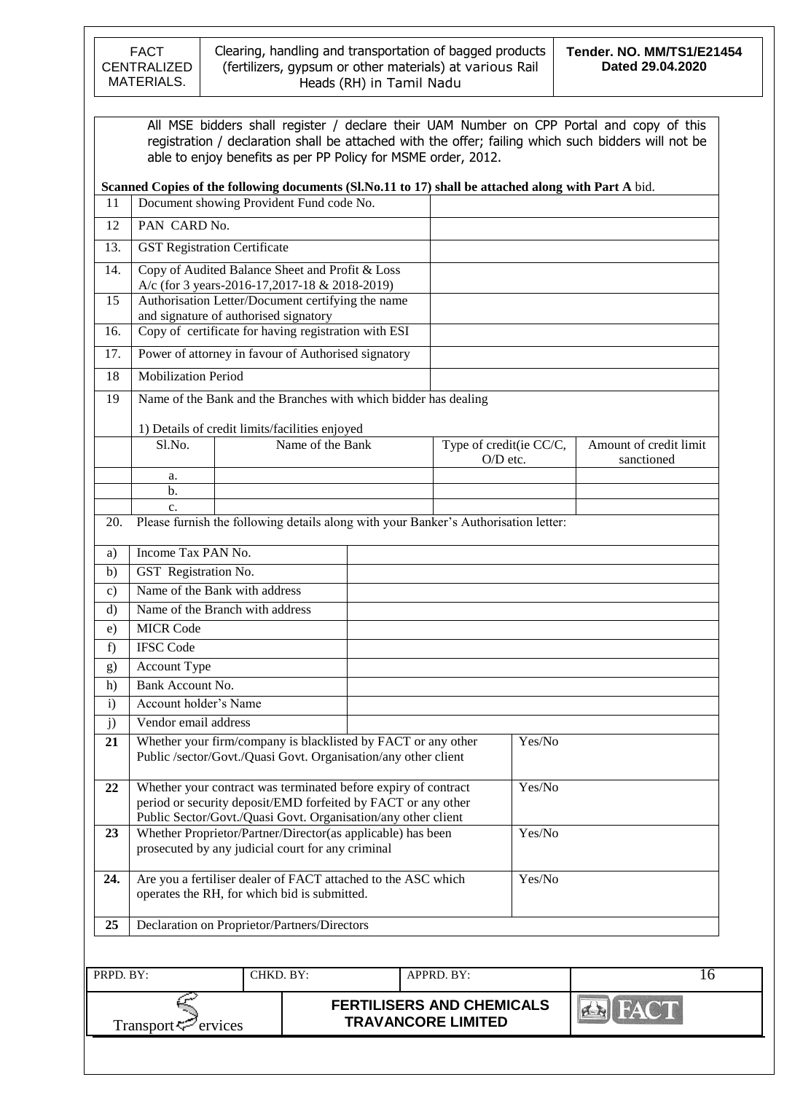

|                |                                     | All MSE bidders shall register / declare their UAM Number on CPP Portal and copy of this<br>registration / declaration shall be attached with the offer; failing which such bidders will not be<br>able to enjoy benefits as per PP Policy for MSME order, 2012. |  |                                     |        |                                      |
|----------------|-------------------------------------|------------------------------------------------------------------------------------------------------------------------------------------------------------------------------------------------------------------------------------------------------------------|--|-------------------------------------|--------|--------------------------------------|
|                |                                     | Scanned Copies of the following documents (Sl.No.11 to 17) shall be attached along with Part A bid.                                                                                                                                                              |  |                                     |        |                                      |
| 11             |                                     | Document showing Provident Fund code No.                                                                                                                                                                                                                         |  |                                     |        |                                      |
| 12             | PAN CARD No.                        |                                                                                                                                                                                                                                                                  |  |                                     |        |                                      |
| 13.            | <b>GST Registration Certificate</b> |                                                                                                                                                                                                                                                                  |  |                                     |        |                                      |
| 14.            |                                     | Copy of Audited Balance Sheet and Profit & Loss                                                                                                                                                                                                                  |  |                                     |        |                                      |
| 15             |                                     | A/c (for 3 years-2016-17,2017-18 & 2018-2019)<br>Authorisation Letter/Document certifying the name                                                                                                                                                               |  |                                     |        |                                      |
|                |                                     | and signature of authorised signatory                                                                                                                                                                                                                            |  |                                     |        |                                      |
| 16.            |                                     | Copy of certificate for having registration with ESI                                                                                                                                                                                                             |  |                                     |        |                                      |
| 17.            |                                     | Power of attorney in favour of Authorised signatory                                                                                                                                                                                                              |  |                                     |        |                                      |
| 18             | <b>Mobilization Period</b>          |                                                                                                                                                                                                                                                                  |  |                                     |        |                                      |
| 19             |                                     | Name of the Bank and the Branches with which bidder has dealing                                                                                                                                                                                                  |  |                                     |        |                                      |
|                |                                     |                                                                                                                                                                                                                                                                  |  |                                     |        |                                      |
|                |                                     | 1) Details of credit limits/facilities enjoyed<br>Name of the Bank                                                                                                                                                                                               |  |                                     |        |                                      |
|                | S1.No.                              |                                                                                                                                                                                                                                                                  |  | Type of credit(ie CC/C,<br>O/D etc. |        | Amount of credit limit<br>sanctioned |
|                | a.                                  |                                                                                                                                                                                                                                                                  |  |                                     |        |                                      |
|                | b.                                  |                                                                                                                                                                                                                                                                  |  |                                     |        |                                      |
|                | c.                                  |                                                                                                                                                                                                                                                                  |  |                                     |        |                                      |
| 20.            |                                     | Please furnish the following details along with your Banker's Authorisation letter:                                                                                                                                                                              |  |                                     |        |                                      |
| a)             | Income Tax PAN No.                  |                                                                                                                                                                                                                                                                  |  |                                     |        |                                      |
| b)             | GST Registration No.                |                                                                                                                                                                                                                                                                  |  |                                     |        |                                      |
| $\mathbf{c}$ ) |                                     | Name of the Bank with address                                                                                                                                                                                                                                    |  |                                     |        |                                      |
| $\rm d$        |                                     | Name of the Branch with address                                                                                                                                                                                                                                  |  |                                     |        |                                      |
| e)             | <b>MICR Code</b>                    |                                                                                                                                                                                                                                                                  |  |                                     |        |                                      |
| f)             | <b>IFSC Code</b>                    |                                                                                                                                                                                                                                                                  |  |                                     |        |                                      |
| g)             | Account Type                        |                                                                                                                                                                                                                                                                  |  |                                     |        |                                      |
| h)             | <b>Bank Account No.</b>             |                                                                                                                                                                                                                                                                  |  |                                     |        |                                      |
| $\mathbf{i}$   | Account holder's Name               |                                                                                                                                                                                                                                                                  |  |                                     |        |                                      |
| j)             | Vendor email address                |                                                                                                                                                                                                                                                                  |  |                                     |        |                                      |
| 21             |                                     | Whether your firm/company is blacklisted by FACT or any other<br>Public /sector/Govt./Quasi Govt. Organisation/any other client                                                                                                                                  |  |                                     | Yes/No |                                      |
| 22             |                                     | Whether your contract was terminated before expiry of contract<br>period or security deposit/EMD forfeited by FACT or any other<br>Public Sector/Govt./Quasi Govt. Organisation/any other client                                                                 |  | Yes/No                              |        |                                      |
| 23             |                                     | Whether Proprietor/Partner/Director(as applicable) has been<br>prosecuted by any judicial court for any criminal                                                                                                                                                 |  |                                     | Yes/No |                                      |
| 24.            |                                     | Are you a fertiliser dealer of FACT attached to the ASC which<br>operates the RH, for which bid is submitted.                                                                                                                                                    |  |                                     | Yes/No |                                      |
| 25             |                                     | Declaration on Proprietor/Partners/Directors                                                                                                                                                                                                                     |  |                                     |        |                                      |

| PRPD. BY:                      | CHKD. BY: | $APPRD$ . BY:                                                 |  |
|--------------------------------|-----------|---------------------------------------------------------------|--|
| Transport <sup>7</sup> ervices |           | <b>FERTILISERS AND CHEMICALS</b><br><b>TRAVANCORE LIMITED</b> |  |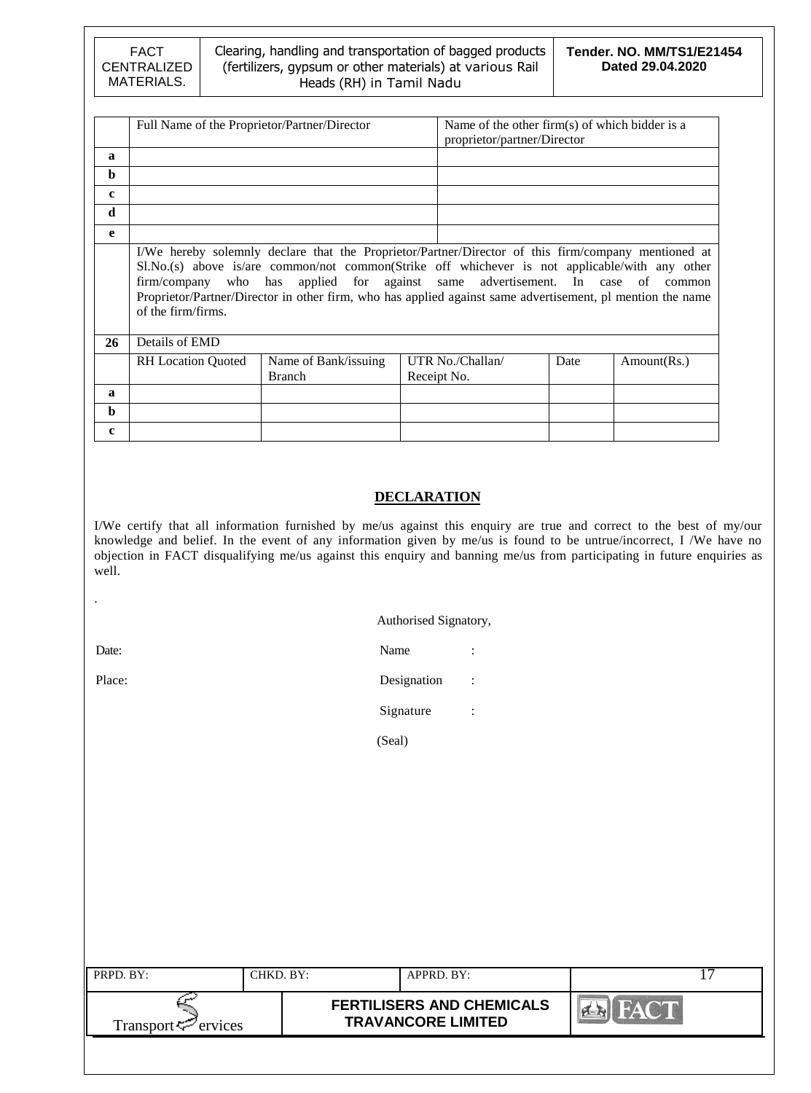### Clearing, handling and transportation of bagged products (fertilizers, gypsum or other materials) at various Rail Heads (RH) in Tamil Nadu

|              | Full Name of the Proprietor/Partner/Director                                                                                                                                                                                                                                                                                                                                                                                | Name of the other firm(s) of which bidder is a<br>proprietor/partner/Director |  |                                 |      |             |  |  |  |
|--------------|-----------------------------------------------------------------------------------------------------------------------------------------------------------------------------------------------------------------------------------------------------------------------------------------------------------------------------------------------------------------------------------------------------------------------------|-------------------------------------------------------------------------------|--|---------------------------------|------|-------------|--|--|--|
| $\mathbf a$  |                                                                                                                                                                                                                                                                                                                                                                                                                             |                                                                               |  |                                 |      |             |  |  |  |
| b            |                                                                                                                                                                                                                                                                                                                                                                                                                             |                                                                               |  |                                 |      |             |  |  |  |
| $\mathbf c$  |                                                                                                                                                                                                                                                                                                                                                                                                                             |                                                                               |  |                                 |      |             |  |  |  |
| d            |                                                                                                                                                                                                                                                                                                                                                                                                                             |                                                                               |  |                                 |      |             |  |  |  |
| e            |                                                                                                                                                                                                                                                                                                                                                                                                                             |                                                                               |  |                                 |      |             |  |  |  |
| 26           | I/We hereby solemnly declare that the Proprietor/Partner/Director of this firm/company mentioned at<br>Sl.No.(s) above is/are common/not common(Strike off whichever is not applicable/with any other<br>firm/company who has applied for against same advertisement. In case of common<br>Proprietor/Partner/Director in other firm, who has applied against same advertisement, pl mention the name<br>of the firm/firms. |                                                                               |  |                                 |      |             |  |  |  |
|              | Details of EMD                                                                                                                                                                                                                                                                                                                                                                                                              |                                                                               |  |                                 |      |             |  |  |  |
|              | <b>RH</b> Location Quoted                                                                                                                                                                                                                                                                                                                                                                                                   | Name of Bank/issuing<br><b>Branch</b>                                         |  | UTR No./Challan/<br>Receipt No. | Date | Amount(Rs.) |  |  |  |
| $\mathbf a$  |                                                                                                                                                                                                                                                                                                                                                                                                                             |                                                                               |  |                                 |      |             |  |  |  |
| b            |                                                                                                                                                                                                                                                                                                                                                                                                                             |                                                                               |  |                                 |      |             |  |  |  |
| $\mathbf{c}$ |                                                                                                                                                                                                                                                                                                                                                                                                                             |                                                                               |  |                                 |      |             |  |  |  |

## **DECLARATION**

I/We certify that all information furnished by me/us against this enquiry are true and correct to the best of my/our knowledge and belief. In the event of any information given by me/us is found to be untrue/incorrect, I /We have no objection in FACT disqualifying me/us against this enquiry and banning me/us from participating in future enquiries as well.

#### Authorised Signatory,

.

Date: Name : Name : Name : Name : Name : Name : Name : Name : Name : Name : Name : Name : Name : Name : Name :  $\mathbb{R}$ Place: Designation :

Signature :

(Seal)

| PRPD. BY:                      | CHKD. BY: | $APPRD$ . BY:                                                 |             |
|--------------------------------|-----------|---------------------------------------------------------------|-------------|
| Transport <sup>7</sup> ervices |           | <b>FERTILISERS AND CHEMICALS</b><br><b>TRAVANCORE LIMITED</b> | <b>HACT</b> |
|                                |           |                                                               |             |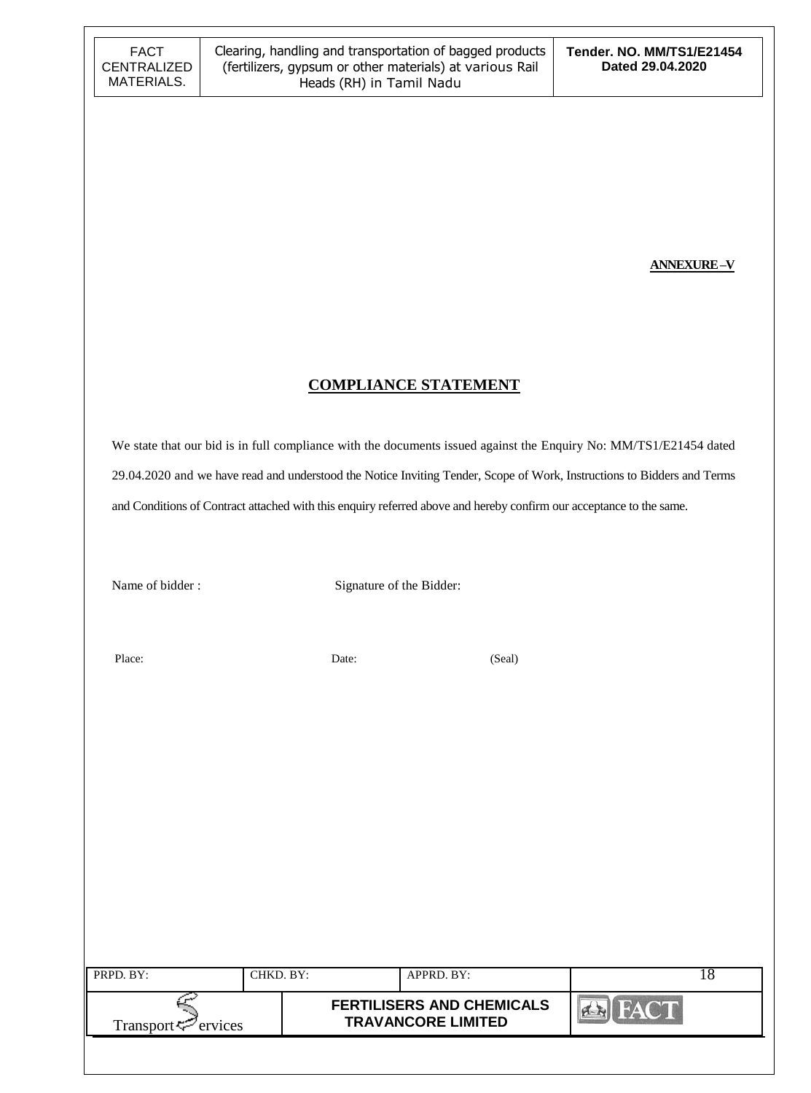**ANNEXURE –V**

## **COMPLIANCE STATEMENT**

We state that our bid is in full compliance with the documents issued against the Enquiry No: MM/TS1/E21454 dated 29.04.2020 and we have read and understood the Notice Inviting Tender, Scope of Work, Instructions to Bidders and Terms and Conditions of Contract attached with this enquiry referred above and hereby confirm our acceptance to the same.

Name of bidder : Signature of the Bidder:

Place: Date: Date: (Seal)

| PRPD. BY:                       | CHKD. BY: | APPRD. BY: |                                                               |  |
|---------------------------------|-----------|------------|---------------------------------------------------------------|--|
| Transport <sup>ry</sup> ervices |           |            | <b>FERTILISERS AND CHEMICALS</b><br><b>TRAVANCORE LIMITED</b> |  |
|                                 |           |            |                                                               |  |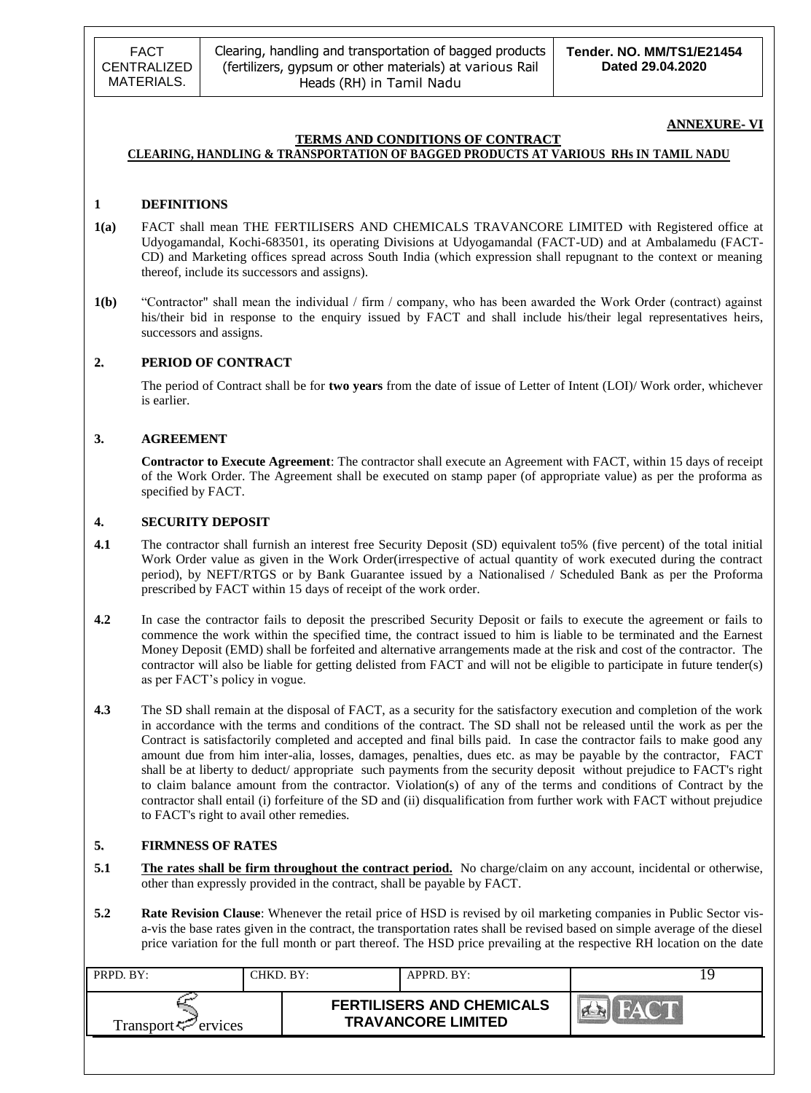FACT CENTRALIZED MATERIALS.

#### **ANNEXURE- VI**

#### **TERMS AND CONDITIONS OF CONTRACT CLEARING, HANDLING & TRANSPORTATION OF BAGGED PRODUCTS AT VARIOUS RHs IN TAMIL NADU**

#### **1 DEFINITIONS**

- **1(a)** FACT shall mean THE FERTILISERS AND CHEMICALS TRAVANCORE LIMITED with Registered office at Udyogamandal, Kochi-683501, its operating Divisions at Udyogamandal (FACT-UD) and at Ambalamedu (FACT-CD) and Marketing offices spread across South India (which expression shall repugnant to the context or meaning thereof, include its successors and assigns).
- **1(b)** "Contractor" shall mean the individual / firm / company, who has been awarded the Work Order (contract) against his/their bid in response to the enquiry issued by FACT and shall include his/their legal representatives heirs, successors and assigns.

#### **2. PERIOD OF CONTRACT**

The period of Contract shall be for **two years** from the date of issue of Letter of Intent (LOI)/ Work order, whichever is earlier.

#### **3. AGREEMENT**

**Contractor to Execute Agreement**: The contractor shall execute an Agreement with FACT, within 15 days of receipt of the Work Order. The Agreement shall be executed on stamp paper (of appropriate value) as per the proforma as specified by FACT.

#### **4. SECURITY DEPOSIT**

- **4.1** The contractor shall furnish an interest free Security Deposit (SD) equivalent to 5% (five percent) of the total initial Work Order value as given in the Work Order(irrespective of actual quantity of work executed during the contract period), by NEFT/RTGS or by Bank Guarantee issued by a Nationalised / Scheduled Bank as per the Proforma prescribed by FACT within 15 days of receipt of the work order.
- **4.2** In case the contractor fails to deposit the prescribed Security Deposit or fails to execute the agreement or fails to commence the work within the specified time, the contract issued to him is liable to be terminated and the Earnest Money Deposit (EMD) shall be forfeited and alternative arrangements made at the risk and cost of the contractor. The contractor will also be liable for getting delisted from FACT and will not be eligible to participate in future tender(s) as per FACT"s policy in vogue.
- **4.3** The SD shall remain at the disposal of FACT, as a security for the satisfactory execution and completion of the work in accordance with the terms and conditions of the contract. The SD shall not be released until the work as per the Contract is satisfactorily completed and accepted and final bills paid. In case the contractor fails to make good any amount due from him inter-alia, losses, damages, penalties, dues etc. as may be payable by the contractor, FACT shall be at liberty to deduct/ appropriate such payments from the security deposit without prejudice to FACT's right to claim balance amount from the contractor. Violation(s) of any of the terms and conditions of Contract by the contractor shall entail (i) forfeiture of the SD and (ii) disqualification from further work with FACT without prejudice to FACT's right to avail other remedies.

#### **5. FIRMNESS OF RATES**

- **5.1 The rates shall be firm throughout the contract period.** No charge/claim on any account, incidental or otherwise, other than expressly provided in the contract, shall be payable by FACT.
- **5.2 Rate Revision Clause**: Whenever the retail price of HSD is revised by oil marketing companies in Public Sector visa-vis the base rates given in the contract, the transportation rates shall be revised based on simple average of the diesel price variation for the full month or part thereof. The HSD price prevailing at the respective RH location on the date

| PRPD. BY:                   | CHKD. BY: | APPRD. BY:                                                    |  |
|-----------------------------|-----------|---------------------------------------------------------------|--|
| Transport $\varphi$ ervices |           | <b>FERTILISERS AND CHEMICALS</b><br><b>TRAVANCORE LIMITED</b> |  |
|                             |           |                                                               |  |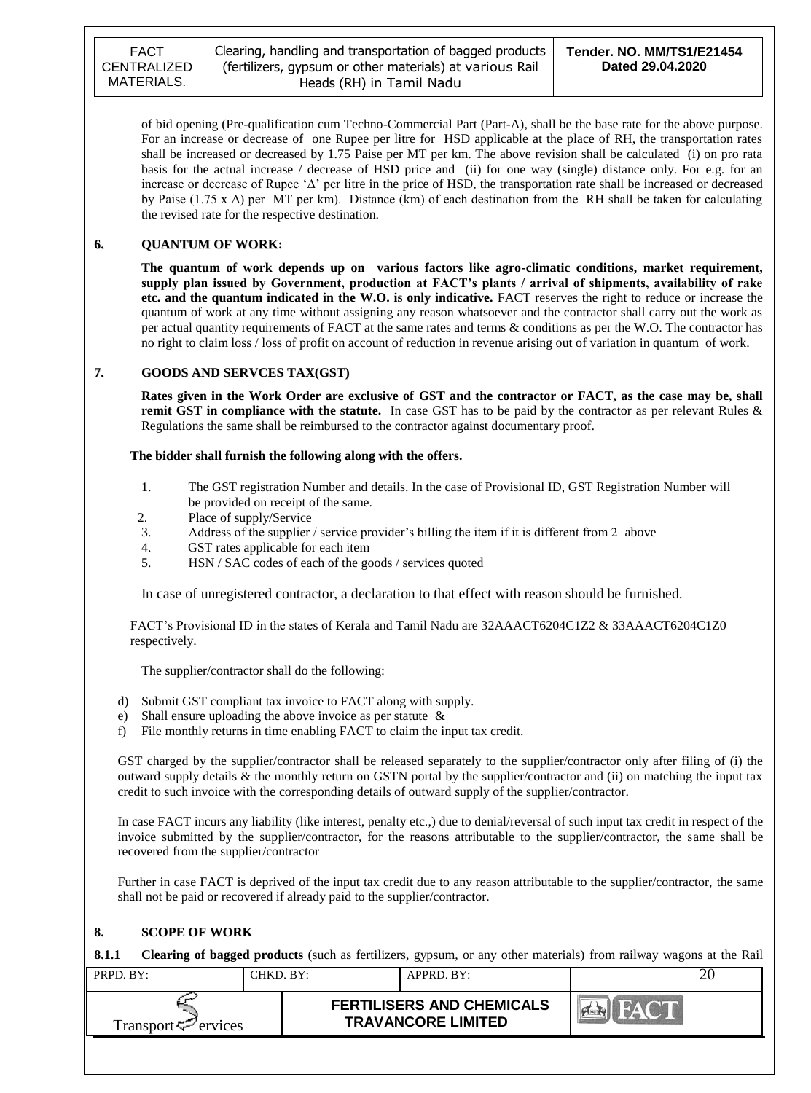of bid opening (Pre-qualification cum Techno-Commercial Part (Part-A), shall be the base rate for the above purpose. For an increase or decrease of one Rupee per litre for HSD applicable at the place of RH, the transportation rates shall be increased or decreased by 1.75 Paise per MT per km. The above revision shall be calculated (i) on pro rata basis for the actual increase / decrease of HSD price and (ii) for one way (single) distance only. For e.g. for an increase or decrease of Rupee "Δ" per litre in the price of HSD, the transportation rate shall be increased or decreased by Paise (1.75 x Δ) per MT per km). Distance (km) of each destination from the RH shall be taken for calculating the revised rate for the respective destination.

### **6. QUANTUM OF WORK:**

**The quantum of work depends up on various factors like agro-climatic conditions, market requirement, supply plan issued by Government, production at FACT's plants / arrival of shipments, availability of rake etc. and the quantum indicated in the W.O. is only indicative.** FACT reserves the right to reduce or increase the quantum of work at any time without assigning any reason whatsoever and the contractor shall carry out the work as per actual quantity requirements of FACT at the same rates and terms & conditions as per the W.O. The contractor has no right to claim loss / loss of profit on account of reduction in revenue arising out of variation in quantum of work.

#### **7. GOODS AND SERVCES TAX(GST)**

**Rates given in the Work Order are exclusive of GST and the contractor or FACT, as the case may be, shall remit GST in compliance with the statute.** In case GST has to be paid by the contractor as per relevant Rules & Regulations the same shall be reimbursed to the contractor against documentary proof.

#### **The bidder shall furnish the following along with the offers.**

- 1. The GST registration Number and details. In the case of Provisional ID, GST Registration Number will be provided on receipt of the same.
- 2. Place of supply/Service
- 3. Address of the supplier / service provider"s billing the item if it is different from 2 above
- 4. GST rates applicable for each item
- 5. HSN / SAC codes of each of the goods / services quoted

In case of unregistered contractor, a declaration to that effect with reason should be furnished.

 FACT"s Provisional ID in the states of Kerala and Tamil Nadu are 32AAACT6204C1Z2 & 33AAACT6204C1Z0 respectively.

The supplier/contractor shall do the following:

- d) Submit GST compliant tax invoice to FACT along with supply.
- e) Shall ensure uploading the above invoice as per statute &
- f) File monthly returns in time enabling FACT to claim the input tax credit.

GST charged by the supplier/contractor shall be released separately to the supplier/contractor only after filing of (i) the outward supply details & the monthly return on GSTN portal by the supplier/contractor and (ii) on matching the input tax credit to such invoice with the corresponding details of outward supply of the supplier/contractor.

In case FACT incurs any liability (like interest, penalty etc.,) due to denial/reversal of such input tax credit in respect of the invoice submitted by the supplier/contractor, for the reasons attributable to the supplier/contractor, the same shall be recovered from the supplier/contractor

Further in case FACT is deprived of the input tax credit due to any reason attributable to the supplier/contractor, the same shall not be paid or recovered if already paid to the supplier/contractor.

### **8. SCOPE OF WORK**

**8.1.1 Clearing of bagged products** (such as fertilizers, gypsum, or any other materials) from railway wagons at the Rail

| $PRPD$ $RY:$           | CHKD. BY: | $APPRD$ $BY:$                                                 | ZΨ |
|------------------------|-----------|---------------------------------------------------------------|----|
| Transport < F≃ ervices |           | <b>FERTILISERS AND CHEMICALS</b><br><b>TRAVANCORE LIMITED</b> |    |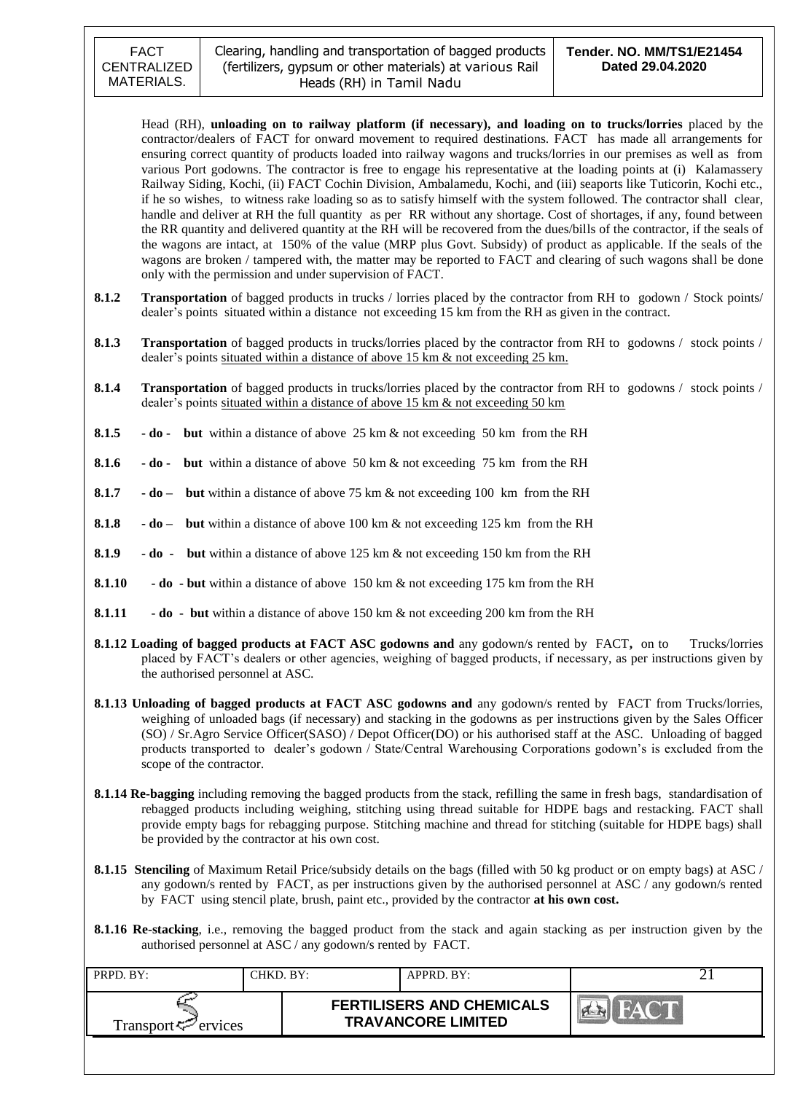Head (RH), **unloading on to railway platform (if necessary), and loading on to trucks/lorries** placed by the contractor/dealers of FACT for onward movement to required destinations. FACT has made all arrangements for ensuring correct quantity of products loaded into railway wagons and trucks/lorries in our premises as well as from various Port godowns. The contractor is free to engage his representative at the loading points at (i) Kalamassery Railway Siding, Kochi, (ii) FACT Cochin Division, Ambalamedu, Kochi, and (iii) seaports like Tuticorin, Kochi etc., if he so wishes, to witness rake loading so as to satisfy himself with the system followed. The contractor shall clear, handle and deliver at RH the full quantity as per RR without any shortage. Cost of shortages, if any, found between the RR quantity and delivered quantity at the RH will be recovered from the dues/bills of the contractor, if the seals of the wagons are intact, at 150% of the value (MRP plus Govt. Subsidy) of product as applicable. If the seals of the wagons are broken / tampered with, the matter may be reported to FACT and clearing of such wagons shall be done only with the permission and under supervision of FACT.

- **8.1.2 Transportation** of bagged products in trucks / lorries placed by the contractor from RH to godown / Stock points/ dealer"s points situated within a distance not exceeding 15 km from the RH as given in the contract.
- **8.1.3 Transportation** of bagged products in trucks/lorries placed by the contractor from RH to godowns / stock points / dealer's points situated within a distance of above 15 km & not exceeding 25 km.
- **8.1.4 Transportation** of bagged products in trucks/lorries placed by the contractor from RH to godowns / stock points / dealer's points situated within a distance of above  $15 \text{ km } \&$  not exceeding  $50 \text{ km}$
- **8.1.5 - do but** within a distance of above 25 km & not exceeding 50 km from the RH
- **8.1.6 - do but** within a distance of above 50 km & not exceeding 75 km from the RH
- **8.1.7 - do but** within a distance of above 75 km & not exceeding 100 km from the RH
- **8.1.8 - do but** within a distance of above 100 km & not exceeding 125 km from the RH
- **8.1.9 - do but** within a distance of above 125 km & not exceeding 150 km from the RH
- **8.1.10**  $\bullet$  **do**  $\bullet$  **but** within a distance of above 150 km & not exceeding 175 km from the RH
- **8.1.11 - do but** within a distance of above 150 km & not exceeding 200 km from the RH
- **8.1.12 Loading of bagged products at FACT ASC godowns and** any godown/s rented by FACT**,** on to Trucks/lorries placed by FACT"s dealers or other agencies, weighing of bagged products, if necessary, as per instructions given by the authorised personnel at ASC.
- **8.1.13 Unloading of bagged products at FACT ASC godowns and** any godown/s rented by FACT from Trucks/lorries, weighing of unloaded bags (if necessary) and stacking in the godowns as per instructions given by the Sales Officer (SO) / Sr.Agro Service Officer(SASO) / Depot Officer(DO) or his authorised staff at the ASC. Unloading of bagged products transported to dealer"s godown / State/Central Warehousing Corporations godown"s is excluded from the scope of the contractor.
- **8.1.14 Re-bagging** including removing the bagged products from the stack, refilling the same in fresh bags, standardisation of rebagged products including weighing, stitching using thread suitable for HDPE bags and restacking. FACT shall provide empty bags for rebagging purpose. Stitching machine and thread for stitching (suitable for HDPE bags) shall be provided by the contractor at his own cost.
- **8.1.15 Stenciling** of Maximum Retail Price/subsidy details on the bags (filled with 50 kg product or on empty bags) at ASC / any godown/s rented by FACT, as per instructions given by the authorised personnel at ASC / any godown/s rented by FACT using stencil plate, brush, paint etc., provided by the contractor **at his own cost.**
- **8.1.16 Re-stacking**, i.e., removing the bagged product from the stack and again stacking as per instruction given by the authorised personnel at ASC / any godown/s rented by FACT.

| PRPD. BY:                       | CHKD. BY: | APPRD. BY:                                                    |  |
|---------------------------------|-----------|---------------------------------------------------------------|--|
| Transport <sup>ry</sup> ervices |           | <b>FERTILISERS AND CHEMICALS</b><br><b>TRAVANCORE LIMITED</b> |  |
|                                 |           |                                                               |  |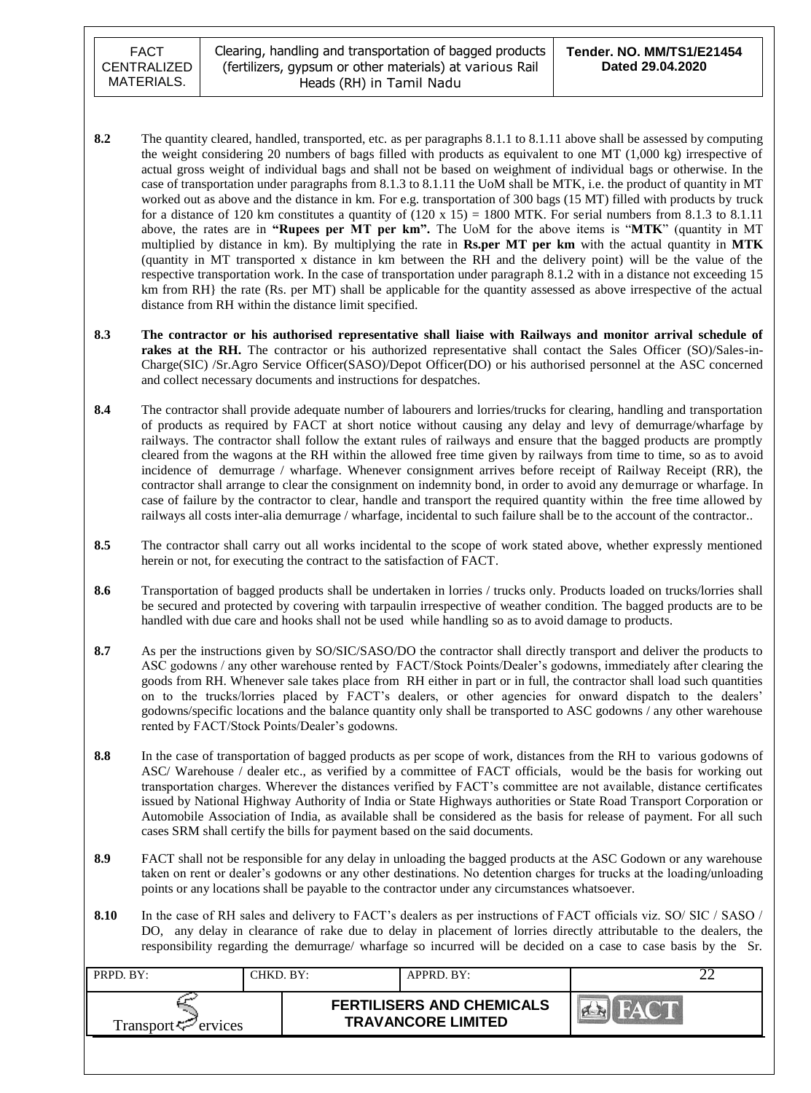FACT CENTRALIZED MATERIALS.

- **8.2** The quantity cleared, handled, transported, etc. as per paragraphs 8.1.1 to 8.1.11 above shall be assessed by computing the weight considering 20 numbers of bags filled with products as equivalent to one MT (1,000 kg) irrespective of actual gross weight of individual bags and shall not be based on weighment of individual bags or otherwise. In the case of transportation under paragraphs from 8.1.3 to 8.1.11 the UoM shall be MTK, i.e. the product of quantity in MT worked out as above and the distance in km. For e.g. transportation of 300 bags (15 MT) filled with products by truck for a distance of 120 km constitutes a quantity of  $(120 \times 15) = 1800$  MTK. For serial numbers from 8.1.3 to 8.1.11 above, the rates are in **"Rupees per MT per km".** The UoM for the above items is "**MTK**" (quantity in MT multiplied by distance in km). By multiplying the rate in **Rs.per MT per km** with the actual quantity in **MTK** (quantity in MT transported x distance in km between the RH and the delivery point) will be the value of the respective transportation work. In the case of transportation under paragraph 8.1.2 with in a distance not exceeding 15 km from RH} the rate (Rs. per MT) shall be applicable for the quantity assessed as above irrespective of the actual distance from RH within the distance limit specified.
- **8.3 The contractor or his authorised representative shall liaise with Railways and monitor arrival schedule of rakes at the RH.** The contractor or his authorized representative shall contact the Sales Officer (SO)/Sales-in-Charge(SIC) /Sr.Agro Service Officer(SASO)/Depot Officer(DO) or his authorised personnel at the ASC concerned and collect necessary documents and instructions for despatches.
- **8.4** The contractor shall provide adequate number of labourers and lorries/trucks for clearing, handling and transportation of products as required by FACT at short notice without causing any delay and levy of demurrage/wharfage by railways. The contractor shall follow the extant rules of railways and ensure that the bagged products are promptly cleared from the wagons at the RH within the allowed free time given by railways from time to time, so as to avoid incidence of demurrage / wharfage. Whenever consignment arrives before receipt of Railway Receipt (RR), the contractor shall arrange to clear the consignment on indemnity bond, in order to avoid any demurrage or wharfage. In case of failure by the contractor to clear, handle and transport the required quantity within the free time allowed by railways all costs inter-alia demurrage / wharfage, incidental to such failure shall be to the account of the contractor..
- 8.5 The contractor shall carry out all works incidental to the scope of work stated above, whether expressly mentioned herein or not, for executing the contract to the satisfaction of FACT.
- **8.6** Transportation of bagged products shall be undertaken in lorries / trucks only. Products loaded on trucks/lorries shall be secured and protected by covering with tarpaulin irrespective of weather condition. The bagged products are to be handled with due care and hooks shall not be used while handling so as to avoid damage to products.
- **8.7** As per the instructions given by SO/SIC/SASO/DO the contractor shall directly transport and deliver the products to ASC godowns / any other warehouse rented by FACT/Stock Points/Dealer's godowns, immediately after clearing the goods from RH. Whenever sale takes place from RH either in part or in full, the contractor shall load such quantities on to the trucks/lorries placed by FACT"s dealers, or other agencies for onward dispatch to the dealers" godowns/specific locations and the balance quantity only shall be transported to ASC godowns / any other warehouse rented by FACT/Stock Points/Dealer's godowns.
- **8.8** In the case of transportation of bagged products as per scope of work, distances from the RH to various godowns of ASC/ Warehouse / dealer etc., as verified by a committee of FACT officials, would be the basis for working out transportation charges. Wherever the distances verified by FACT"s committee are not available, distance certificates issued by National Highway Authority of India or State Highways authorities or State Road Transport Corporation or Automobile Association of India, as available shall be considered as the basis for release of payment. For all such cases SRM shall certify the bills for payment based on the said documents.
- **8.9** FACT shall not be responsible for any delay in unloading the bagged products at the ASC Godown or any warehouse taken on rent or dealer"s godowns or any other destinations. No detention charges for trucks at the loading/unloading points or any locations shall be payable to the contractor under any circumstances whatsoever.
- 8.10 In the case of RH sales and delivery to FACT's dealers as per instructions of FACT officials viz. SO/ SIC / SASO / DO, any delay in clearance of rake due to delay in placement of lorries directly attributable to the dealers, the responsibility regarding the demurrage/ wharfage so incurred will be decided on a case to case basis by the Sr.

| PRPD. BY:                       | CHKD. BY: | APPRD. BY:                                                    |  |
|---------------------------------|-----------|---------------------------------------------------------------|--|
| Transport <sup>ry</sup> ervices |           | <b>FERTILISERS AND CHEMICALS</b><br><b>TRAVANCORE LIMITED</b> |  |
|                                 |           |                                                               |  |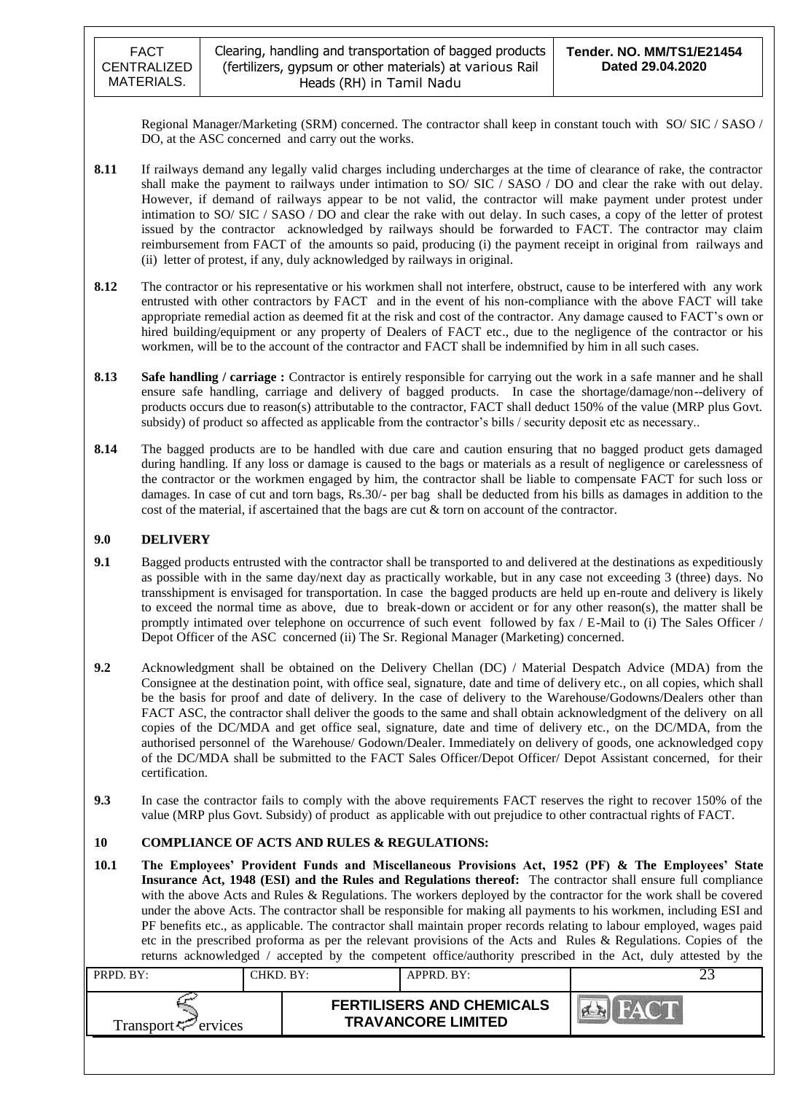Regional Manager/Marketing (SRM) concerned. The contractor shall keep in constant touch with SO/ SIC / SASO / DO, at the ASC concerned and carry out the works.

- **8.11** If railways demand any legally valid charges including undercharges at the time of clearance of rake, the contractor shall make the payment to railways under intimation to SO/ SIC / SASO / DO and clear the rake with out delay. However, if demand of railways appear to be not valid, the contractor will make payment under protest under intimation to SO/ SIC / SASO / DO and clear the rake with out delay. In such cases, a copy of the letter of protest issued by the contractor acknowledged by railways should be forwarded to FACT. The contractor may claim reimbursement from FACT of the amounts so paid, producing (i) the payment receipt in original from railways and (ii) letter of protest, if any, duly acknowledged by railways in original.
- **8.12** The contractor or his representative or his workmen shall not interfere, obstruct, cause to be interfered with any work entrusted with other contractors by FACT and in the event of his non-compliance with the above FACT will take appropriate remedial action as deemed fit at the risk and cost of the contractor. Any damage caused to FACT"s own or hired building/equipment or any property of Dealers of FACT etc., due to the negligence of the contractor or his workmen, will be to the account of the contractor and FACT shall be indemnified by him in all such cases.
- **8.13 Safe handling / carriage :** Contractor is entirely responsible for carrying out the work in a safe manner and he shall ensure safe handling, carriage and delivery of bagged products. In case the shortage/damage/non--delivery of products occurs due to reason(s) attributable to the contractor, FACT shall deduct 150% of the value (MRP plus Govt. subsidy) of product so affected as applicable from the contractor's bills / security deposit etc as necessary..
- **8.14** The bagged products are to be handled with due care and caution ensuring that no bagged product gets damaged during handling. If any loss or damage is caused to the bags or materials as a result of negligence or carelessness of the contractor or the workmen engaged by him, the contractor shall be liable to compensate FACT for such loss or damages. In case of cut and torn bags, Rs.30/- per bag shall be deducted from his bills as damages in addition to the cost of the material, if ascertained that the bags are cut & torn on account of the contractor.

### **9.0 DELIVERY**

- **9.1** Bagged products entrusted with the contractor shall be transported to and delivered at the destinations as expeditiously as possible with in the same day/next day as practically workable, but in any case not exceeding 3 (three) days. No transshipment is envisaged for transportation. In case the bagged products are held up en-route and delivery is likely to exceed the normal time as above, due to break-down or accident or for any other reason(s), the matter shall be promptly intimated over telephone on occurrence of such event followed by fax / E-Mail to (i) The Sales Officer / Depot Officer of the ASC concerned (ii) The Sr. Regional Manager (Marketing) concerned.
- **9.2** Acknowledgment shall be obtained on the Delivery Chellan (DC) / Material Despatch Advice (MDA) from the Consignee at the destination point, with office seal, signature, date and time of delivery etc., on all copies, which shall be the basis for proof and date of delivery. In the case of delivery to the Warehouse/Godowns/Dealers other than FACT ASC, the contractor shall deliver the goods to the same and shall obtain acknowledgment of the delivery on all copies of the DC/MDA and get office seal, signature, date and time of delivery etc., on the DC/MDA, from the authorised personnel of the Warehouse/ Godown/Dealer. Immediately on delivery of goods, one acknowledged copy of the DC/MDA shall be submitted to the FACT Sales Officer/Depot Officer/ Depot Assistant concerned, for their certification.
- **9.3** In case the contractor fails to comply with the above requirements FACT reserves the right to recover 150% of the value (MRP plus Govt. Subsidy) of product as applicable with out prejudice to other contractual rights of FACT.

### **10 COMPLIANCE OF ACTS AND RULES & REGULATIONS:**

**10.1 The Employees' Provident Funds and Miscellaneous Provisions Act, 1952 (PF) & The Employees' State Insurance Act, 1948 (ESI) and the Rules and Regulations thereof:** The contractor shall ensure full compliance with the above Acts and Rules & Regulations. The workers deployed by the contractor for the work shall be covered under the above Acts. The contractor shall be responsible for making all payments to his workmen, including ESI and PF benefits etc., as applicable. The contractor shall maintain proper records relating to labour employed, wages paid etc in the prescribed proforma as per the relevant provisions of the Acts and Rules & Regulations. Copies of the returns acknowledged / accepted by the competent office/authority prescribed in the Act, duly attested by the

| PRPD. BY:                      | CHKD. BY: | APPRD. BY:                                                    |  |
|--------------------------------|-----------|---------------------------------------------------------------|--|
| Transport <sup>7</sup> ervices |           | <b>FERTILISERS AND CHEMICALS</b><br><b>TRAVANCORE LIMITED</b> |  |
|                                |           |                                                               |  |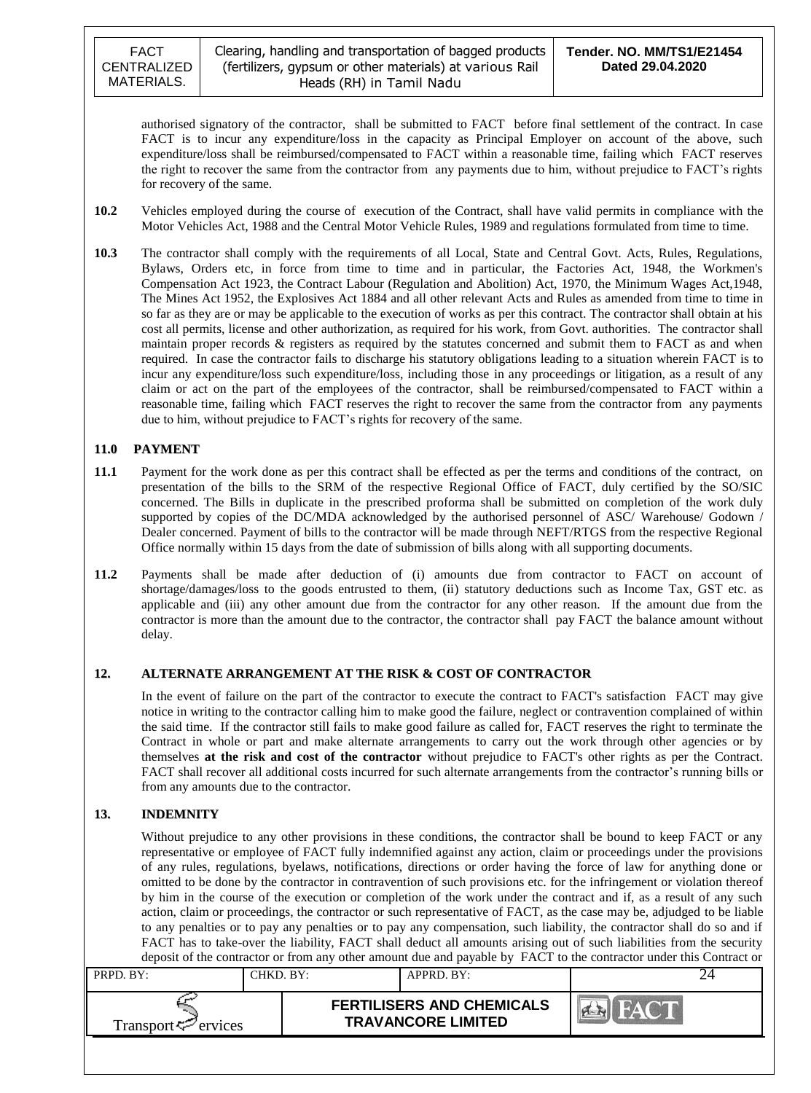authorised signatory of the contractor, shall be submitted to FACT before final settlement of the contract. In case FACT is to incur any expenditure/loss in the capacity as Principal Employer on account of the above, such expenditure/loss shall be reimbursed/compensated to FACT within a reasonable time, failing which FACT reserves the right to recover the same from the contractor from any payments due to him, without prejudice to FACT"s rights for recovery of the same.

- **10.2** Vehicles employed during the course of execution of the Contract, shall have valid permits in compliance with the Motor Vehicles Act, 1988 and the Central Motor Vehicle Rules, 1989 and regulations formulated from time to time.
- **10.3** The contractor shall comply with the requirements of all Local, State and Central Govt. Acts, Rules, Regulations, Bylaws, Orders etc, in force from time to time and in particular, the Factories Act, 1948, the Workmen's Compensation Act 1923, the Contract Labour (Regulation and Abolition) Act, 1970, the Minimum Wages Act,1948, The Mines Act 1952, the Explosives Act 1884 and all other relevant Acts and Rules as amended from time to time in so far as they are or may be applicable to the execution of works as per this contract. The contractor shall obtain at his cost all permits, license and other authorization, as required for his work, from Govt. authorities. The contractor shall maintain proper records & registers as required by the statutes concerned and submit them to FACT as and when required. In case the contractor fails to discharge his statutory obligations leading to a situation wherein FACT is to incur any expenditure/loss such expenditure/loss, including those in any proceedings or litigation, as a result of any claim or act on the part of the employees of the contractor, shall be reimbursed/compensated to FACT within a reasonable time, failing which FACT reserves the right to recover the same from the contractor from any payments due to him, without prejudice to FACT"s rights for recovery of the same.

### **11.0 PAYMENT**

- **11.1** Payment for the work done as per this contract shall be effected as per the terms and conditions of the contract, on presentation of the bills to the SRM of the respective Regional Office of FACT, duly certified by the SO/SIC concerned. The Bills in duplicate in the prescribed proforma shall be submitted on completion of the work duly supported by copies of the DC/MDA acknowledged by the authorised personnel of ASC/ Warehouse/ Godown / Dealer concerned. Payment of bills to the contractor will be made through NEFT/RTGS from the respective Regional Office normally within 15 days from the date of submission of bills along with all supporting documents.
- **11.2** Payments shall be made after deduction of (i) amounts due from contractor to FACT on account of shortage/damages/loss to the goods entrusted to them, (ii) statutory deductions such as Income Tax, GST etc. as applicable and (iii) any other amount due from the contractor for any other reason. If the amount due from the contractor is more than the amount due to the contractor, the contractor shall pay FACT the balance amount without delay.

### **12. ALTERNATE ARRANGEMENT AT THE RISK & COST OF CONTRACTOR**

In the event of failure on the part of the contractor to execute the contract to FACT's satisfaction FACT may give notice in writing to the contractor calling him to make good the failure, neglect or contravention complained of within the said time. If the contractor still fails to make good failure as called for, FACT reserves the right to terminate the Contract in whole or part and make alternate arrangements to carry out the work through other agencies or by themselves **at the risk and cost of the contractor** without prejudice to FACT's other rights as per the Contract. FACT shall recover all additional costs incurred for such alternate arrangements from the contractor"s running bills or from any amounts due to the contractor.

### **13. INDEMNITY**

Without prejudice to any other provisions in these conditions, the contractor shall be bound to keep FACT or any representative or employee of FACT fully indemnified against any action, claim or proceedings under the provisions of any rules, regulations, byelaws, notifications, directions or order having the force of law for anything done or omitted to be done by the contractor in contravention of such provisions etc. for the infringement or violation thereof by him in the course of the execution or completion of the work under the contract and if, as a result of any such action, claim or proceedings, the contractor or such representative of FACT, as the case may be, adjudged to be liable to any penalties or to pay any penalties or to pay any compensation, such liability, the contractor shall do so and if FACT has to take-over the liability, FACT shall deduct all amounts arising out of such liabilities from the security deposit of the contractor or from any other amount due and payable by FACT to the contractor under this Contract or

| PRPD. BY:                       | CHKD. BY: | APPRD. BY:                                                    |            |
|---------------------------------|-----------|---------------------------------------------------------------|------------|
| Transport <sup>ry</sup> ervices |           | <b>FERTILISERS AND CHEMICALS</b><br><b>TRAVANCORE LIMITED</b> | <b>AVE</b> |
|                                 |           |                                                               |            |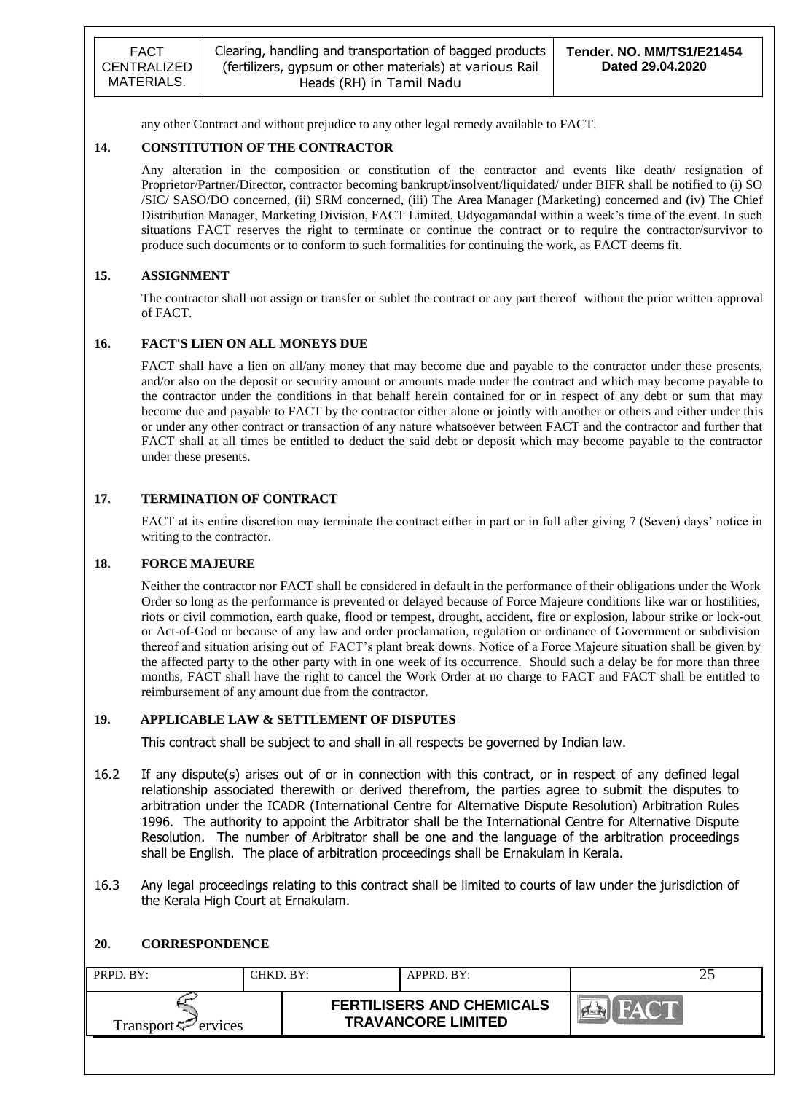any other Contract and without prejudice to any other legal remedy available to FACT.

### **14. CONSTITUTION OF THE CONTRACTOR**

Any alteration in the composition or constitution of the contractor and events like death/ resignation of Proprietor/Partner/Director, contractor becoming bankrupt/insolvent/liquidated/ under BIFR shall be notified to (i) SO /SIC/ SASO/DO concerned, (ii) SRM concerned, (iii) The Area Manager (Marketing) concerned and (iv) The Chief Distribution Manager, Marketing Division, FACT Limited, Udyogamandal within a week"s time of the event. In such situations FACT reserves the right to terminate or continue the contract or to require the contractor/survivor to produce such documents or to conform to such formalities for continuing the work, as FACT deems fit.

### **15. ASSIGNMENT**

The contractor shall not assign or transfer or sublet the contract or any part thereof without the prior written approval of FACT.

#### **16. FACT'S LIEN ON ALL MONEYS DUE**

FACT shall have a lien on all/any money that may become due and payable to the contractor under these presents, and/or also on the deposit or security amount or amounts made under the contract and which may become payable to the contractor under the conditions in that behalf herein contained for or in respect of any debt or sum that may become due and payable to FACT by the contractor either alone or jointly with another or others and either under this or under any other contract or transaction of any nature whatsoever between FACT and the contractor and further that FACT shall at all times be entitled to deduct the said debt or deposit which may become payable to the contractor under these presents.

### **17. TERMINATION OF CONTRACT**

FACT at its entire discretion may terminate the contract either in part or in full after giving 7 (Seven) days" notice in writing to the contractor.

#### **18. FORCE MAJEURE**

Neither the contractor nor FACT shall be considered in default in the performance of their obligations under the Work Order so long as the performance is prevented or delayed because of Force Majeure conditions like war or hostilities, riots or civil commotion, earth quake, flood or tempest, drought, accident, fire or explosion, labour strike or lock-out or Act-of-God or because of any law and order proclamation, regulation or ordinance of Government or subdivision thereof and situation arising out of FACT"s plant break downs. Notice of a Force Majeure situation shall be given by the affected party to the other party with in one week of its occurrence. Should such a delay be for more than three months, FACT shall have the right to cancel the Work Order at no charge to FACT and FACT shall be entitled to reimbursement of any amount due from the contractor.

#### **19. APPLICABLE LAW & SETTLEMENT OF DISPUTES**

This contract shall be subject to and shall in all respects be governed by Indian law.

- 16.2 If any dispute(s) arises out of or in connection with this contract, or in respect of any defined legal relationship associated therewith or derived therefrom, the parties agree to submit the disputes to arbitration under the ICADR (International Centre for Alternative Dispute Resolution) Arbitration Rules 1996. The authority to appoint the Arbitrator shall be the International Centre for Alternative Dispute Resolution. The number of Arbitrator shall be one and the language of the arbitration proceedings shall be English. The place of arbitration proceedings shall be Ernakulam in Kerala.
- 16.3 Any legal proceedings relating to this contract shall be limited to courts of law under the jurisdiction of the Kerala High Court at Ernakulam.

#### **20. CORRESPONDENCE**

| PRPD. BY:                   | CHKD. BY: | APPRD. BY:                                                    |  |
|-----------------------------|-----------|---------------------------------------------------------------|--|
| Transport $\varphi$ ervices |           | <b>FERTILISERS AND CHEMICALS</b><br><b>TRAVANCORE LIMITED</b> |  |
|                             |           |                                                               |  |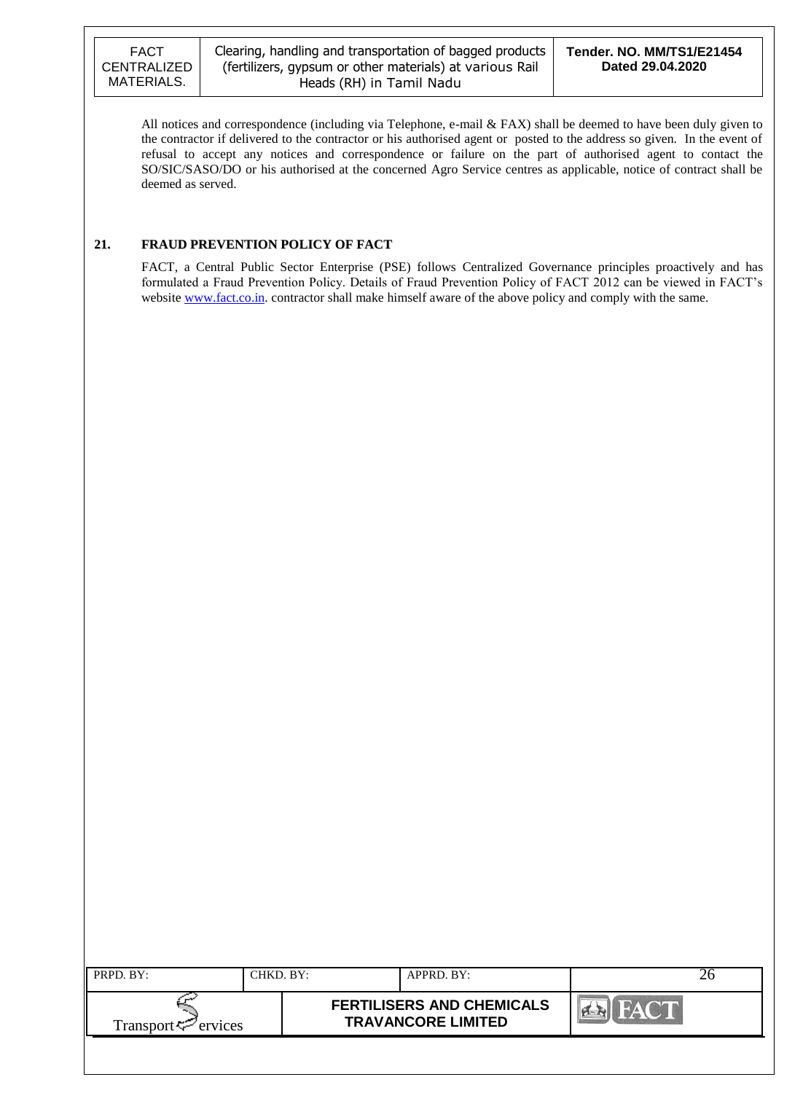All notices and correspondence (including via Telephone, e-mail & FAX) shall be deemed to have been duly given to the contractor if delivered to the contractor or his authorised agent or posted to the address so given. In the event of refusal to accept any notices and correspondence or failure on the part of authorised agent to contact the SO/SIC/SASO/DO or his authorised at the concerned Agro Service centres as applicable, notice of contract shall be deemed as served.

### **21. FRAUD PREVENTION POLICY OF FACT**

FACT, a Central Public Sector Enterprise (PSE) follows Centralized Governance principles proactively and has formulated a Fraud Prevention Policy. Details of Fraud Prevention Policy of FACT 2012 can be viewed in FACT"s website [www.fact.co.in.](http://www.fact.co.in/) contractor shall make himself aware of the above policy and comply with the same.

| PRPD. BY:                      | CHKD. BY: | APPRD. BY:                                                    |  |
|--------------------------------|-----------|---------------------------------------------------------------|--|
| Transport <sup>7</sup> ervices |           | <b>FERTILISERS AND CHEMICALS</b><br><b>TRAVANCORE LIMITED</b> |  |
|                                |           |                                                               |  |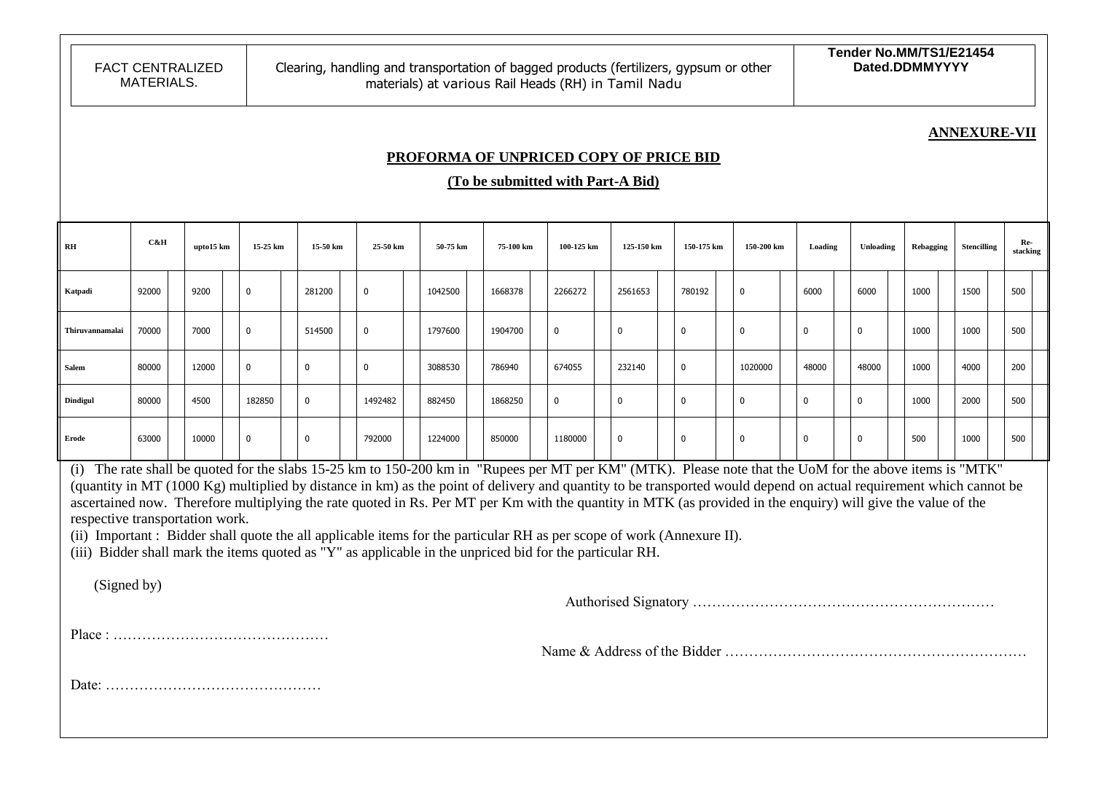### **ANNEXURE-VII**

### **PROFORMA OF UNPRICED COPY OF PRICE BID**

**(To be submitted with Part-A Bid)**

| RH              | C&H                                                                                                                                                                                                                                                                                                                                                                                                                                                                                                                                                                                                                                                                                                                                                                     |  | upto15 km | 15-25 km    | 15-50 km    |  | 25-50 km     | 50-75 km |  | 75-100 km | 100-125 km  | 125-150 km  | 150-175 km   | 150-200 km   | Loading     | Unloading    | Rebagging | <b>Stencilling</b> | Re- | stacking |
|-----------------|-------------------------------------------------------------------------------------------------------------------------------------------------------------------------------------------------------------------------------------------------------------------------------------------------------------------------------------------------------------------------------------------------------------------------------------------------------------------------------------------------------------------------------------------------------------------------------------------------------------------------------------------------------------------------------------------------------------------------------------------------------------------------|--|-----------|-------------|-------------|--|--------------|----------|--|-----------|-------------|-------------|--------------|--------------|-------------|--------------|-----------|--------------------|-----|----------|
| Katpadi         | 92000                                                                                                                                                                                                                                                                                                                                                                                                                                                                                                                                                                                                                                                                                                                                                                   |  | 9200      | $\mathbf 0$ | 281200      |  | $\mathbf{0}$ | 1042500  |  | 1668378   | 2266272     | 2561653     | 780192       | $\mathbf{0}$ | 6000        | 6000         | 1000      | 1500               | 500 |          |
| Thiruvannamalai | 70000                                                                                                                                                                                                                                                                                                                                                                                                                                                                                                                                                                                                                                                                                                                                                                   |  | 7000      | 0           | 514500      |  | 0            | 1797600  |  | 1904700   | $\mathbf 0$ | 0           | 0            | $\mathbf{0}$ | $\mathbf 0$ | $\Omega$     | 1000      | 1000               | 500 |          |
| <b>Salem</b>    | 80000                                                                                                                                                                                                                                                                                                                                                                                                                                                                                                                                                                                                                                                                                                                                                                   |  | 12000     | 0           | 0           |  | $\Omega$     | 3088530  |  | 786940    | 674055      | 232140      | 0            | 1020000      | 48000       | 48000        | 1000      | 4000               | 200 |          |
| <b>Dindigul</b> | 80000                                                                                                                                                                                                                                                                                                                                                                                                                                                                                                                                                                                                                                                                                                                                                                   |  | 4500      | 182850      | $\mathbf 0$ |  | 1492482      | 882450   |  | 1868250   | $\mathbf 0$ | 0           | $\mathbf{0}$ | 0            | $\mathbf 0$ | $\mathbf 0$  | 1000      | 2000               | 500 |          |
| Erode           | 63000                                                                                                                                                                                                                                                                                                                                                                                                                                                                                                                                                                                                                                                                                                                                                                   |  | 10000     | $\mathbf 0$ | $\mathbf 0$ |  | 792000       | 1224000  |  | 850000    | 1180000     | $\mathbf 0$ | $\mathbf{0}$ | $\mathbf 0$  | $\Omega$    | $\mathbf{0}$ | 500       | 1000               | 500 |          |
|                 | (i) The rate shall be quoted for the slabs 15-25 km to 150-200 km in "Rupees per MT per KM" (MTK). Please note that the UoM for the above items is "MTK"<br>(quantity in MT (1000 Kg) multiplied by distance in km) as the point of delivery and quantity to be transported would depend on actual requirement which cannot be<br>ascertained now. Therefore multiplying the rate quoted in Rs. Per MT per Km with the quantity in MTK (as provided in the enquiry) will give the value of the<br>respective transportation work.<br>(ii) Important : Bidder shall quote the all applicable items for the particular RH as per scope of work (Annexure II).<br>(iii) Bidder shall mark the items quoted as "Y" as applicable in the unpriced bid for the particular RH. |  |           |             |             |  |              |          |  |           |             |             |              |              |             |              |           |                    |     |          |
| (Signed by)     |                                                                                                                                                                                                                                                                                                                                                                                                                                                                                                                                                                                                                                                                                                                                                                         |  |           |             |             |  |              |          |  |           |             |             |              |              |             |              |           |                    |     |          |
|                 |                                                                                                                                                                                                                                                                                                                                                                                                                                                                                                                                                                                                                                                                                                                                                                         |  |           |             |             |  |              |          |  |           |             |             |              |              |             |              |           |                    |     |          |
|                 |                                                                                                                                                                                                                                                                                                                                                                                                                                                                                                                                                                                                                                                                                                                                                                         |  |           |             |             |  |              |          |  |           |             |             |              |              |             |              |           |                    |     |          |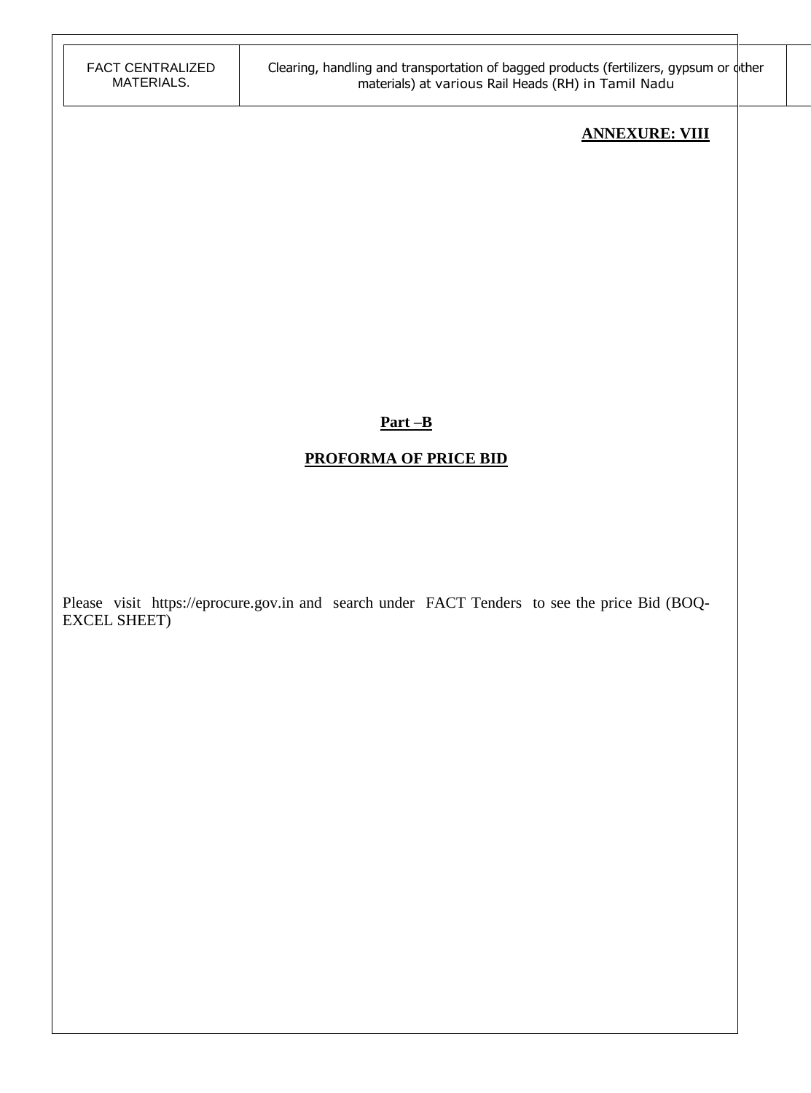# **ANNEXURE: VIII**

## **Part –B**

# **PROFORMA OF PRICE BID**

Please visit https://eprocure.gov.in and search under FACT Tenders to see the price Bid (BOQ-EXCEL SHEET)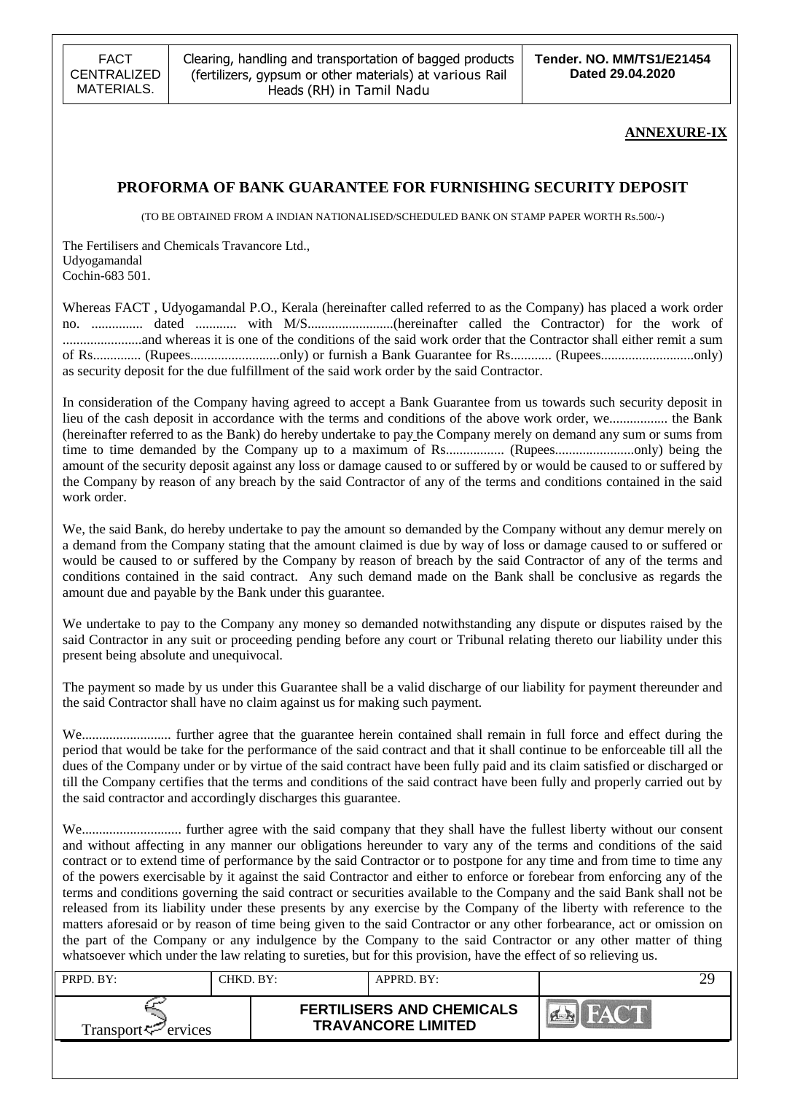### **ANNEXURE-IX**

### **PROFORMA OF BANK GUARANTEE FOR FURNISHING SECURITY DEPOSIT**

(TO BE OBTAINED FROM A INDIAN NATIONALISED/SCHEDULED BANK ON STAMP PAPER WORTH Rs.500/-)

The Fertilisers and Chemicals Travancore Ltd., Udyogamandal Cochin-683 501.

Whereas FACT , Udyogamandal P.O., Kerala (hereinafter called referred to as the Company) has placed a work order no. ............... dated ............ with M/S.........................(hereinafter called the Contractor) for the work of .......................and whereas it is one of the conditions of the said work order that the Contractor shall either remit a sum of Rs.............. (Rupees..........................only) or furnish a Bank Guarantee for Rs............ (Rupees...........................only) as security deposit for the due fulfillment of the said work order by the said Contractor.

In consideration of the Company having agreed to accept a Bank Guarantee from us towards such security deposit in lieu of the cash deposit in accordance with the terms and conditions of the above work order, we................. the Bank (hereinafter referred to as the Bank) do hereby undertake to pay the Company merely on demand any sum or sums from time to time demanded by the Company up to a maximum of Rs................. (Rupees.......................only) being the amount of the security deposit against any loss or damage caused to or suffered by or would be caused to or suffered by the Company by reason of any breach by the said Contractor of any of the terms and conditions contained in the said work order.

We, the said Bank, do hereby undertake to pay the amount so demanded by the Company without any demur merely on a demand from the Company stating that the amount claimed is due by way of loss or damage caused to or suffered or would be caused to or suffered by the Company by reason of breach by the said Contractor of any of the terms and conditions contained in the said contract. Any such demand made on the Bank shall be conclusive as regards the amount due and payable by the Bank under this guarantee.

We undertake to pay to the Company any money so demanded notwithstanding any dispute or disputes raised by the said Contractor in any suit or proceeding pending before any court or Tribunal relating thereto our liability under this present being absolute and unequivocal.

The payment so made by us under this Guarantee shall be a valid discharge of our liability for payment thereunder and the said Contractor shall have no claim against us for making such payment.

We.......................... further agree that the guarantee herein contained shall remain in full force and effect during the period that would be take for the performance of the said contract and that it shall continue to be enforceable till all the dues of the Company under or by virtue of the said contract have been fully paid and its claim satisfied or discharged or till the Company certifies that the terms and conditions of the said contract have been fully and properly carried out by the said contractor and accordingly discharges this guarantee.

We............................. further agree with the said company that they shall have the fullest liberty without our consent and without affecting in any manner our obligations hereunder to vary any of the terms and conditions of the said contract or to extend time of performance by the said Contractor or to postpone for any time and from time to time any of the powers exercisable by it against the said Contractor and either to enforce or forebear from enforcing any of the terms and conditions governing the said contract or securities available to the Company and the said Bank shall not be released from its liability under these presents by any exercise by the Company of the liberty with reference to the matters aforesaid or by reason of time being given to the said Contractor or any other forbearance, act or omission on the part of the Company or any indulgence by the Company to the said Contractor or any other matter of thing whatsoever which under the law relating to sureties, but for this provision, have the effect of so relieving us.

| PRPD. BY:                       | CHKD. BY: | APPRD. BY:                                                    |                           |  |
|---------------------------------|-----------|---------------------------------------------------------------|---------------------------|--|
| Transport <sup>ry</sup> ervices |           | <b>FERTILISERS AND CHEMICALS</b><br><b>TRAVANCORE LIMITED</b> | $\mathbb{R}^{\mathbb{Z}}$ |  |
|                                 |           |                                                               |                           |  |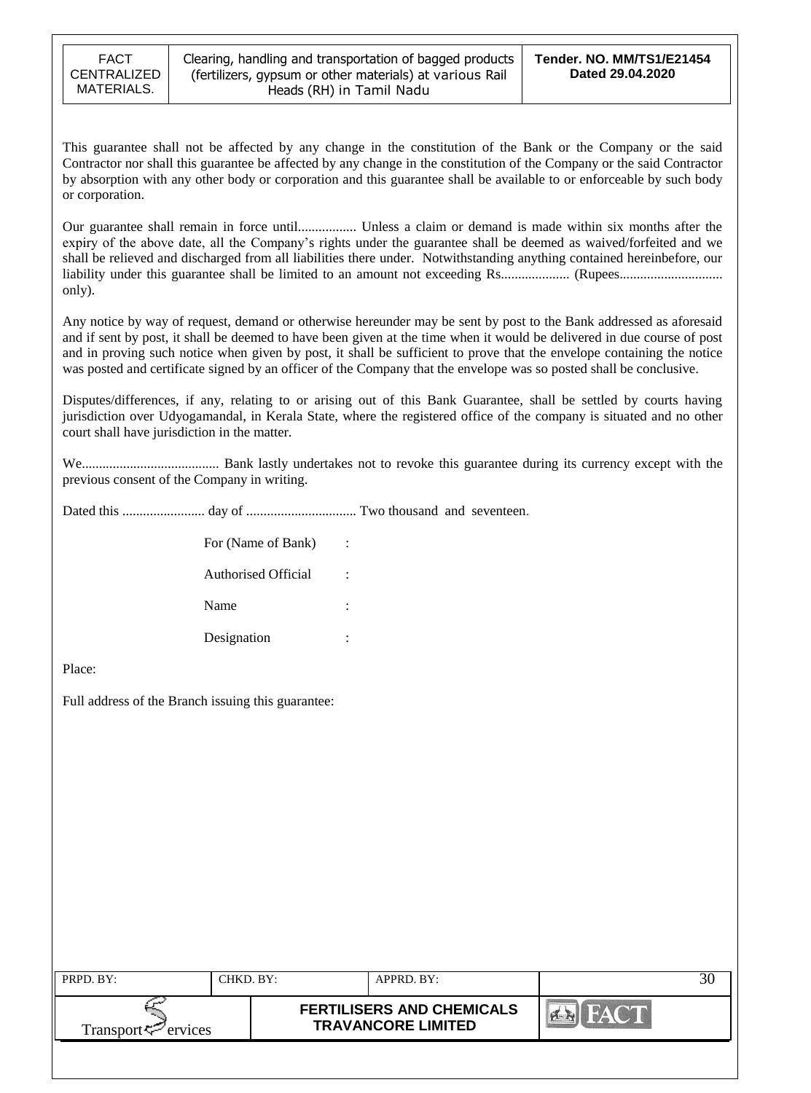This guarantee shall not be affected by any change in the constitution of the Bank or the Company or the said Contractor nor shall this guarantee be affected by any change in the constitution of the Company or the said Contractor by absorption with any other body or corporation and this guarantee shall be available to or enforceable by such body or corporation.

Our guarantee shall remain in force until................. Unless a claim or demand is made within six months after the expiry of the above date, all the Company"s rights under the guarantee shall be deemed as waived/forfeited and we shall be relieved and discharged from all liabilities there under. Notwithstanding anything contained hereinbefore, our liability under this guarantee shall be limited to an amount not exceeding Rs.................... (Rupees.............................. only).

Any notice by way of request, demand or otherwise hereunder may be sent by post to the Bank addressed as aforesaid and if sent by post, it shall be deemed to have been given at the time when it would be delivered in due course of post and in proving such notice when given by post, it shall be sufficient to prove that the envelope containing the notice was posted and certificate signed by an officer of the Company that the envelope was so posted shall be conclusive.

Disputes/differences, if any, relating to or arising out of this Bank Guarantee, shall be settled by courts having jurisdiction over Udyogamandal, in Kerala State, where the registered office of the company is situated and no other court shall have jurisdiction in the matter.

We........................................ Bank lastly undertakes not to revoke this guarantee during its currency except with the previous consent of the Company in writing.

Dated this ........................ day of ................................ Two thousand and seventeen.

| For (Name of Bank)         |  |
|----------------------------|--|
| <b>Authorised Official</b> |  |
| Name                       |  |
| Designation                |  |

Place:

Full address of the Branch issuing this guarantee:

| PRPD. BY:                                      | CHKD. BY: | APPRD. BY:                                                    |  |
|------------------------------------------------|-----------|---------------------------------------------------------------|--|
| Transport <sup><math>\leq</math></sup> ervices |           | <b>FERTILISERS AND CHEMICALS</b><br><b>TRAVANCORE LIMITED</b> |  |
|                                                |           |                                                               |  |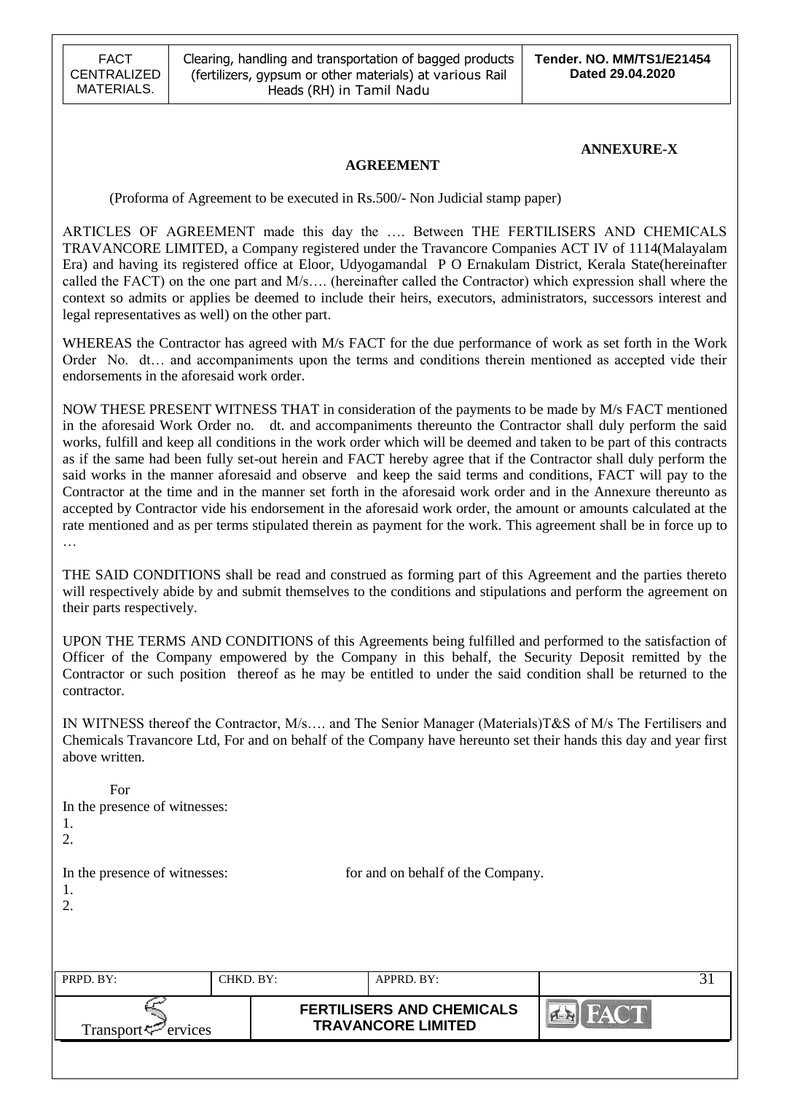### **ANNEXURE-X**

### **AGREEMENT**

(Proforma of Agreement to be executed in Rs.500/- Non Judicial stamp paper)

ARTICLES OF AGREEMENT made this day the …. Between THE FERTILISERS AND CHEMICALS TRAVANCORE LIMITED, a Company registered under the Travancore Companies ACT IV of 1114(Malayalam Era) and having its registered office at Eloor, Udyogamandal P O Ernakulam District, Kerala State(hereinafter called the FACT) on the one part and M/s…. (hereinafter called the Contractor) which expression shall where the context so admits or applies be deemed to include their heirs, executors, administrators, successors interest and legal representatives as well) on the other part.

WHEREAS the Contractor has agreed with M/s FACT for the due performance of work as set forth in the Work Order No. dt… and accompaniments upon the terms and conditions therein mentioned as accepted vide their endorsements in the aforesaid work order.

NOW THESE PRESENT WITNESS THAT in consideration of the payments to be made by M/s FACT mentioned in the aforesaid Work Order no. dt. and accompaniments thereunto the Contractor shall duly perform the said works, fulfill and keep all conditions in the work order which will be deemed and taken to be part of this contracts as if the same had been fully set-out herein and FACT hereby agree that if the Contractor shall duly perform the said works in the manner aforesaid and observe and keep the said terms and conditions, FACT will pay to the Contractor at the time and in the manner set forth in the aforesaid work order and in the Annexure thereunto as accepted by Contractor vide his endorsement in the aforesaid work order, the amount or amounts calculated at the rate mentioned and as per terms stipulated therein as payment for the work. This agreement shall be in force up to …

THE SAID CONDITIONS shall be read and construed as forming part of this Agreement and the parties thereto will respectively abide by and submit themselves to the conditions and stipulations and perform the agreement on their parts respectively.

UPON THE TERMS AND CONDITIONS of this Agreements being fulfilled and performed to the satisfaction of Officer of the Company empowered by the Company in this behalf, the Security Deposit remitted by the Contractor or such position thereof as he may be entitled to under the said condition shall be returned to the contractor.

IN WITNESS thereof the Contractor, M/s…. and The Senior Manager (Materials)T&S of M/s The Fertilisers and Chemicals Travancore Ltd, For and on behalf of the Company have hereunto set their hands this day and year first above written.

| For                                       |           |                                                               |                |    |
|-------------------------------------------|-----------|---------------------------------------------------------------|----------------|----|
| In the presence of witnesses:             |           |                                                               |                |    |
| 1.                                        |           |                                                               |                |    |
| 2.                                        |           |                                                               |                |    |
| In the presence of witnesses:<br>1.<br>2. |           | for and on behalf of the Company.                             |                |    |
| PRPD. BY:                                 | CHKD. BY: | APPRD. BY:                                                    |                | 31 |
| ervices<br>Transport ₹                    |           | <b>FERTILISERS AND CHEMICALS</b><br><b>TRAVANCORE LIMITED</b> | <b>EN FACT</b> |    |
|                                           |           |                                                               |                |    |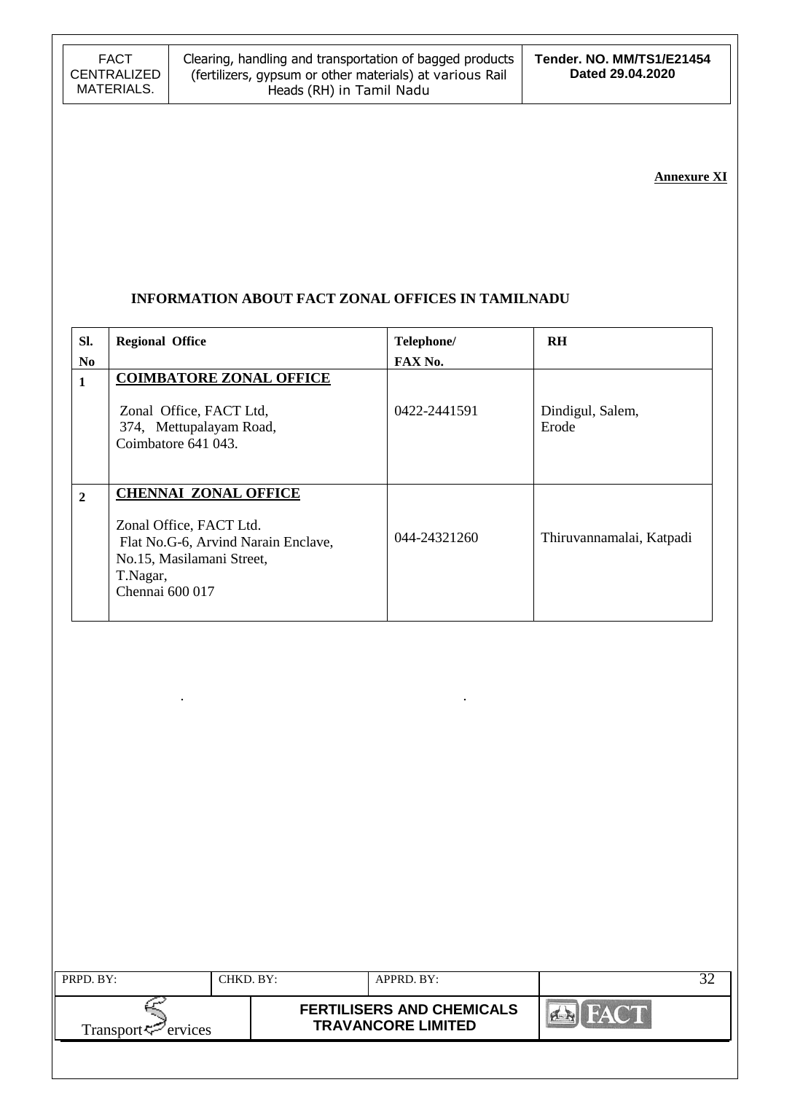### **Annexure XI**

### **INFORMATION ABOUT FACT ZONAL OFFICES IN TAMILNADU**

. .

| SI.            | <b>Regional Office</b>                                                                                                                                    | Telephone/   | <b>RH</b>                 |
|----------------|-----------------------------------------------------------------------------------------------------------------------------------------------------------|--------------|---------------------------|
| N <sub>0</sub> |                                                                                                                                                           | FAX No.      |                           |
| 1              | <b>COIMBATORE ZONAL OFFICE</b><br>Zonal Office, FACT Ltd,<br>374, Mettupalayam Road,<br>Coimbatore 641 043.                                               | 0422-2441591 | Dindigul, Salem,<br>Erode |
| $\overline{2}$ | <b>CHENNAI ZONAL OFFICE</b><br>Zonal Office, FACT Ltd.<br>Flat No.G-6, Arvind Narain Enclave,<br>No.15, Masilamani Street,<br>T.Nagar,<br>Chennai 600 017 | 044-24321260 | Thiruvannamalai, Katpadi  |

| PRPD. BY:                | CHKD. BY: | APPRD. BY:                                                    |      |  |
|--------------------------|-----------|---------------------------------------------------------------|------|--|
| Transport $\leq$ ervices |           | <b>FERTILISERS AND CHEMICALS</b><br><b>TRAVANCORE LIMITED</b> | FLAN |  |
|                          |           |                                                               |      |  |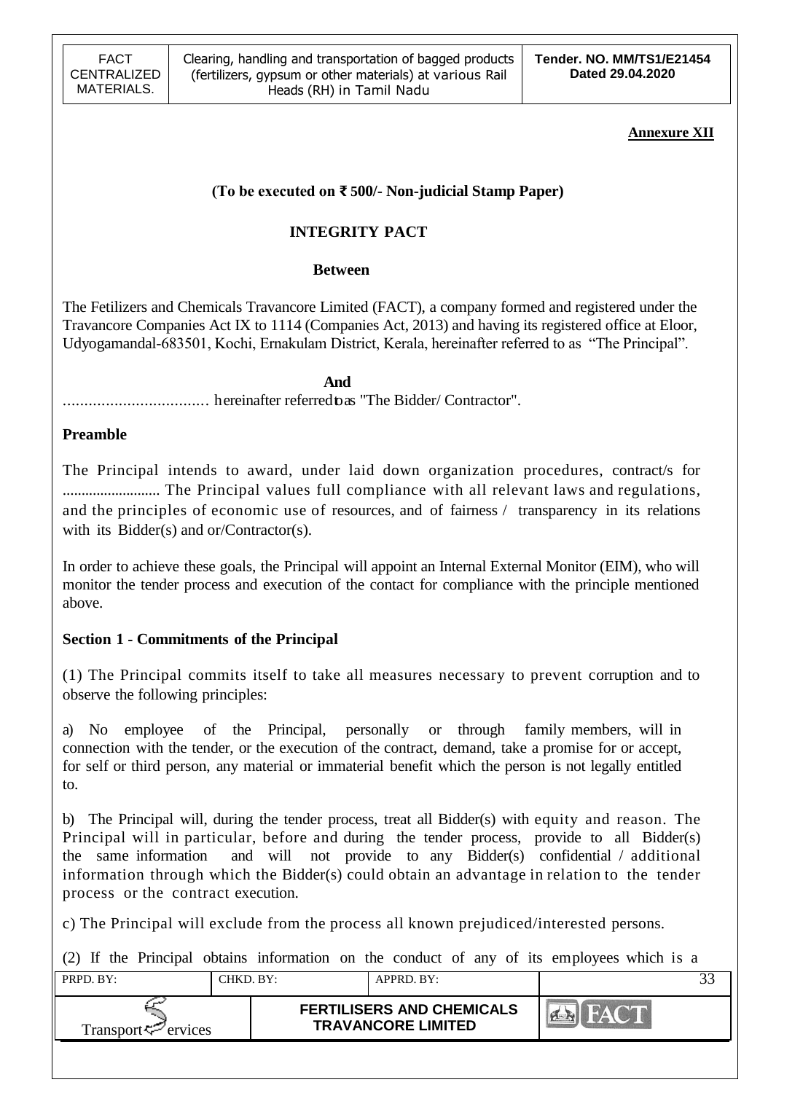### **Annexure XII**

# **(To be executed on ₹ 500/- Non-judicial Stamp Paper)**

# **INTEGRITY PACT**

## **Between**

The Fetilizers and Chemicals Travancore Limited (FACT), a company formed and registered under the Travancore Companies Act IX to 1114 (Companies Act, 2013) and having its registered office at Eloor, Udyogamandal-683501, Kochi, Ernakulam District, Kerala, hereinafter referred to as "The Principal".

 **And** .................................. hereinafter referredtoas "The Bidder/ Contractor".

## **Preamble**

The Principal intends to award, under laid down organization procedures, contract/s for .......................... The Principal values full compliance with all relevant laws and regulations, and the principles of economic use of resources, and of fairness / transparency in its relations with its Bidder(s) and or/Contractor(s).

In order to achieve these goals, the Principal will appoint an Internal External Monitor (EIM), who will monitor the tender process and execution of the contact for compliance with the principle mentioned above.

## **Section 1 - Commitments of the Principal**

(1) The Principal commits itself to take all measures necessary to prevent corruption and to observe the following principles:

a) No employee of the Principal, personally or through family members, will in connection with the tender, or the execution of the contract, demand, take a promise for or accept, for self or third person, any material or immaterial benefit which the person is not legally entitled to.

b) The Principal will, during the tender process, treat all Bidder(s) with equity and reason. The Principal will in particular, before and during the tender process, provide to all Bidder(s) the same information and will not provide to any Bidder(s) confidential / additional information through which the Bidder(s) could obtain an advantage in relation to the tender process or the contract execution.

c) The Principal will exclude from the process all known prejudiced/interested persons.

(2) If the Principal obtains information on the conduct of any of its employees which is a

| $PRPD$ $RY$                 | CHKD. BY: | $APPRD$ . BY:                                                 |  |
|-----------------------------|-----------|---------------------------------------------------------------|--|
| Transport $\approx$ ervices |           | <b>FERTILISERS AND CHEMICALS</b><br><b>TRAVANCORE LIMITED</b> |  |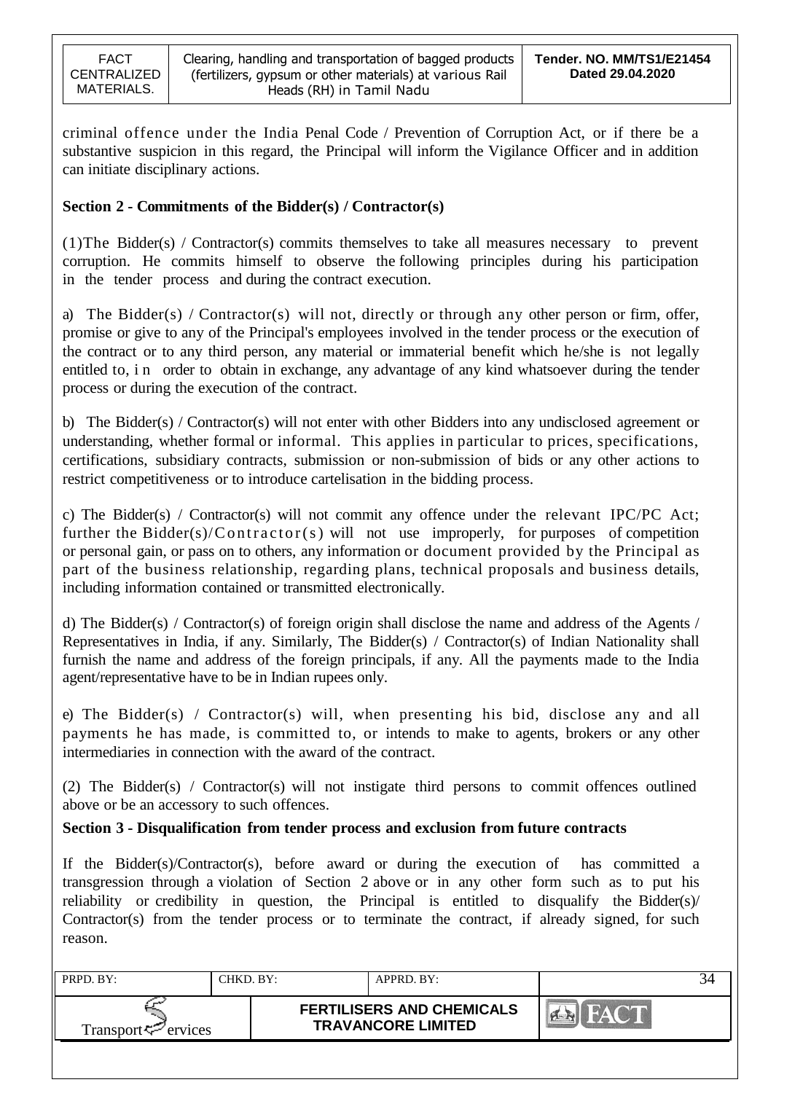criminal offence under the India Penal Code / Prevention of Corruption Act, or if there be a substantive suspicion in this regard, the Principal will inform the Vigilance Officer and in addition can initiate disciplinary actions.

## **Section 2 - Commitments of the Bidder(s) / Contractor(s)**

(1)The Bidder(s) / Contractor(s) commits themselves to take all measures necessary to prevent corruption. He commits himself to observe the following principles during his participation in the tender process and during the contract execution.

a) The Bidder(s) / Contractor(s) will not, directly or through any other person or firm, offer, promise or give to any of the Principal's employees involved in the tender process or the execution of the contract or to any third person, any material or immaterial benefit which he/she is not legally entitled to, in order to obtain in exchange, any advantage of any kind whatsoever during the tender process or during the execution of the contract.

b) The Bidder(s) / Contractor(s) will not enter with other Bidders into any undisclosed agreement or understanding, whether formal or informal. This applies in particular to prices, specifications, certifications, subsidiary contracts, submission or non-submission of bids or any other actions to restrict competitiveness or to introduce cartelisation in the bidding process.

c) The Bidder(s) / Contractor(s) will not commit any offence under the relevant IPC/PC Act; further the Bidder(s)/Contractor(s) will not use improperly, for purposes of competition or personal gain, or pass on to others, any information or document provided by the Principal as part of the business relationship, regarding plans, technical proposals and business details, including information contained or transmitted electronically.

d) The Bidder(s) / Contractor(s) of foreign origin shall disclose the name and address of the Agents / Representatives in India, if any. Similarly, The Bidder(s) / Contractor(s) of Indian Nationality shall furnish the name and address of the foreign principals, if any. All the payments made to the India agent/representative have to be in Indian rupees only.

e) The Bidder(s) / Contractor(s) will, when presenting his bid, disclose any and all payments he has made, is committed to, or intends to make to agents, brokers or any other intermediaries in connection with the award of the contract.

(2) The Bidder(s) / Contractor(s) will not instigate third persons to commit offences outlined above or be an accessory to such offences.

### **Section 3 - Disqualification from tender process and exclusion from future contracts**

If the Bidder(s)/Contractor(s), before award or during the execution of has committed a transgression through a violation of Section 2 above or in any other form such as to put his reliability or credibility in question, the Principal is entitled to disqualify the Bidder(s)/ Contractor(s) from the tender process or to terminate the contract, if already signed, for such reason.

| PRPD. BY:                                        | CHKD. BY: | APPRD. BY:                                                    |  |
|--------------------------------------------------|-----------|---------------------------------------------------------------|--|
| Transport <sup><math>\infty</math></sup> ervices |           | <b>FERTILISERS AND CHEMICALS</b><br><b>TRAVANCORE LIMITED</b> |  |
|                                                  |           |                                                               |  |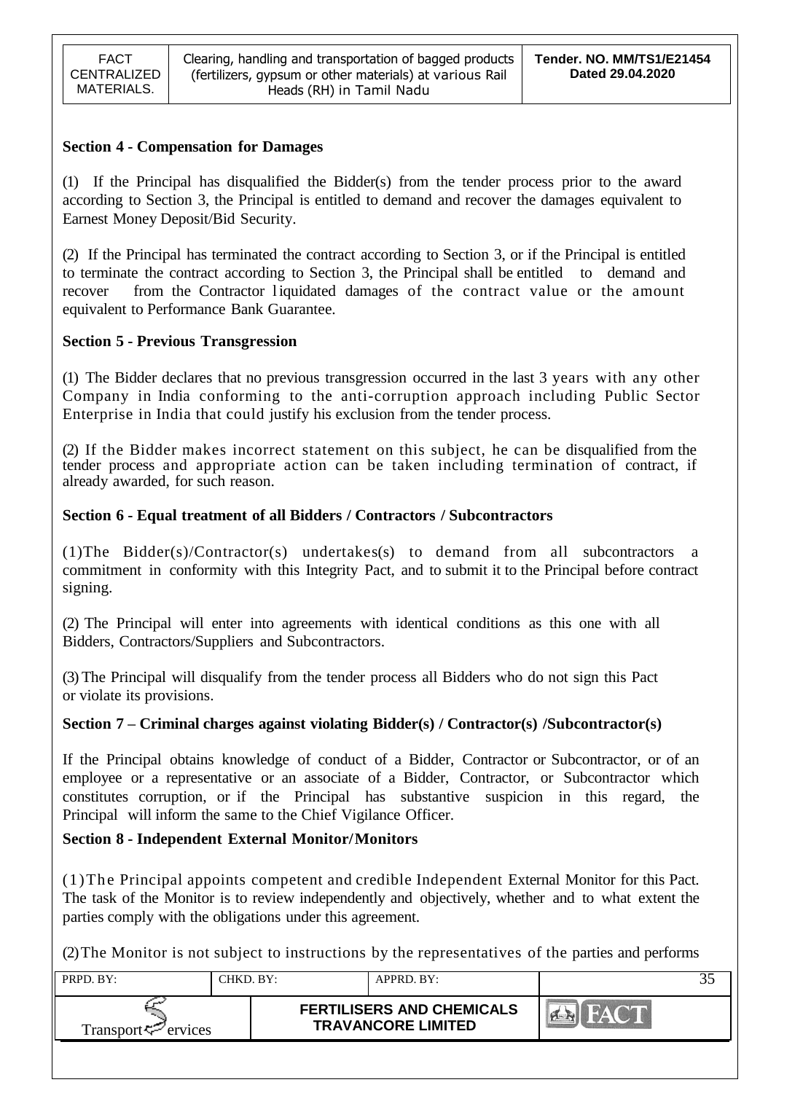### **Section 4 - Compensation for Damages**

(1) If the Principal has disqualified the Bidder(s) from the tender process prior to the award according to Section 3, the Principal is entitled to demand and recover the damages equivalent to Earnest Money Deposit/Bid Security.

(2) If the Principal has terminated the contract according to Section 3, or if the Principal is entitled to terminate the contract according to Section 3, the Principal shall be entitled to demand and recover from the Contractor liquidated damages of the contract value or the amount equivalent to Performance Bank Guarantee.

## **Section 5 - Previous Transgression**

(1) The Bidder declares that no previous transgression occurred in the last 3 years with any other Company in India conforming to the anti-corruption approach including Public Sector Enterprise in India that could justify his exclusion from the tender process.

(2) If the Bidder makes incorrect statement on this subject, he can be disqualified from the tender process and appropriate action can be taken including termination of contract, if already awarded, for such reason.

## **Section 6 - Equal treatment of all Bidders / Contractors / Subcontractors**

(1)The Bidder(s)/Contractor(s) undertakes(s) to demand from all subcontractors a commitment in conformity with this Integrity Pact, and to submit it to the Principal before contract signing.

(2) The Principal will enter into agreements with identical conditions as this one with all Bidders, Contractors/Suppliers and Subcontractors.

(3) The Principal will disqualify from the tender process all Bidders who do not sign this Pact or violate its provisions.

### **Section 7 – Criminal charges against violating Bidder(s) / Contractor(s) /Subcontractor(s)**

If the Principal obtains knowledge of conduct of a Bidder, Contractor or Subcontractor, or of an employee or a representative or an associate of a Bidder, Contractor, or Subcontractor which constitutes corruption, or if the Principal has substantive suspicion in this regard, the Principal will inform the same to the Chief Vigilance Officer.

## **Section 8 - Independent External Monitor/Monitors**

(1)The Principal appoints competent and credible Independent External Monitor for this Pact. The task of the Monitor is to review independently and objectively, whether and to what extent the parties comply with the obligations under this agreement.

(2)The Monitor is not subject to instructions by the representatives of the parties and performs

| PRPD. BY:                      | CHKD, BY: | APPRD. BY:                                                    |  |
|--------------------------------|-----------|---------------------------------------------------------------|--|
| Transport <del>V</del> ervices |           | <b>FERTILISERS AND CHEMICALS</b><br><b>TRAVANCORE LIMITED</b> |  |
|                                |           |                                                               |  |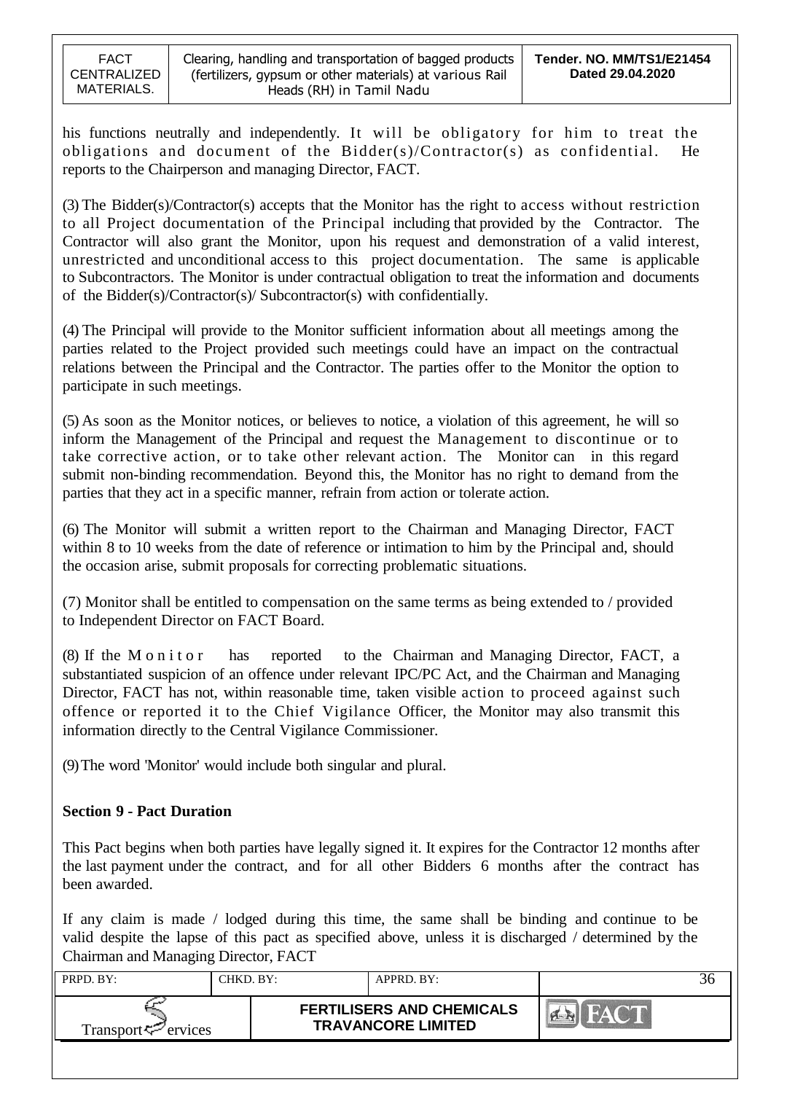his functions neutrally and independently. It will be obligatory for him to treat the obligations and document of the Bidder(s)/Contractor(s) as confidential. He reports to the Chairperson and managing Director, FACT.

(3) The Bidder(s)/Contractor(s) accepts that the Monitor has the right to access without restriction to all Project documentation of the Principal including that provided by the Contractor. The Contractor will also grant the Monitor, upon his request and demonstration of a valid interest, unrestricted and unconditional access to this project documentation. The same is applicable to Subcontractors. The Monitor is under contractual obligation to treat the information and documents of the Bidder(s)/Contractor(s)/ Subcontractor(s) with confidentially.

(4) The Principal will provide to the Monitor sufficient information about all meetings among the parties related to the Project provided such meetings could have an impact on the contractual relations between the Principal and the Contractor. The parties offer to the Monitor the option to participate in such meetings.

(5) As soon as the Monitor notices, or believes to notice, a violation of this agreement, he will so inform the Management of the Principal and request the Management to discontinue or to take corrective action, or to take other relevant action. The Monitor can in this regard submit non-binding recommendation. Beyond this, the Monitor has no right to demand from the parties that they act in a specific manner, refrain from action or tolerate action.

(6) The Monitor will submit a written report to the Chairman and Managing Director, FACT within 8 to 10 weeks from the date of reference or intimation to him by the Principal and, should the occasion arise, submit proposals for correcting problematic situations.

(7) Monitor shall be entitled to compensation on the same terms as being extended to / provided to Independent Director on FACT Board.

(8) If the M o n i t o r has reported to the Chairman and Managing Director, FACT, a substantiated suspicion of an offence under relevant IPC/PC Act, and the Chairman and Managing Director, FACT has not, within reasonable time, taken visible action to proceed against such offence or reported it to the Chief Vigilance Officer, the Monitor may also transmit this information directly to the Central Vigilance Commissioner.

(9)The word 'Monitor' would include both singular and plural.

## **Section 9 - Pact Duration**

This Pact begins when both parties have legally signed it. It expires for the Contractor 12 months after the last payment under the contract, and for all other Bidders 6 months after the contract has been awarded.

If any claim is made / lodged during this time, the same shall be binding and continue to be valid despite the lapse of this pact as specified above, unless it is discharged / determined by the Chairman and Managing Director, FACT

| PRPD. BY:                       | CHKD. BY: |  | APPRD. BY:                                                    |  |
|---------------------------------|-----------|--|---------------------------------------------------------------|--|
| Transport <sup>ry</sup> ervices |           |  | <b>FERTILISERS AND CHEMICALS</b><br><b>TRAVANCORE LIMITED</b> |  |
|                                 |           |  |                                                               |  |